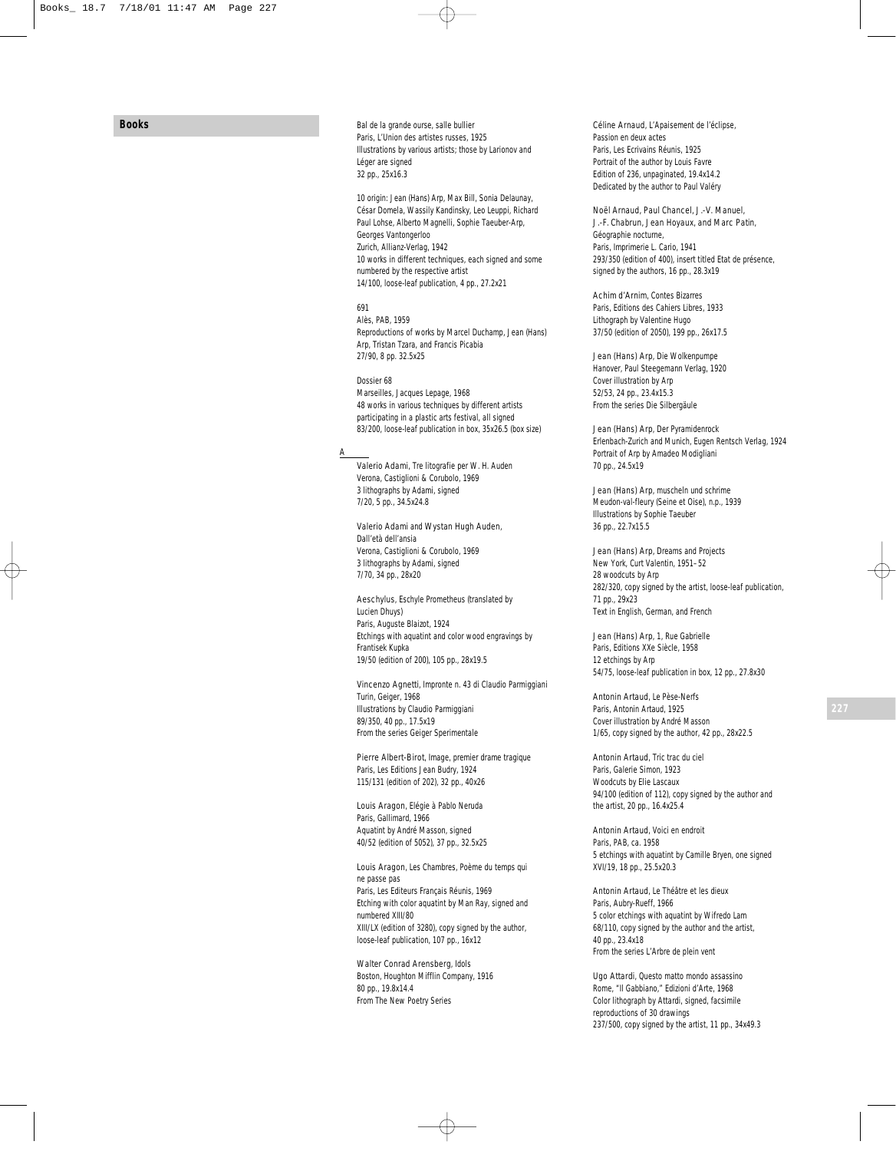**Books**

*Bal de la grande ourse*, *salle bullier* Paris, L'Union des artistes russes, 1925 Illustrations by various artists; those by Larionov and Léger are signed 32 pp., 25x16.3

*10 origin: Jean (Hans) Arp, Max Bill, Sonia Delaunay, César Domela, Wassily Kandinsky, Leo Leuppi, Richard Paul Lohse, Alberto Magnelli, Sophie Taeuber-Arp, Georges Vantongerloo* Zurich, Allianz-Verlag, 1942 10 works in different techniques, each signed and some numbered by the respective artist 14/100, loose-leaf publication, 4 pp., 27.2x21

# *691*

Alès, PAB, 1959 Reproductions of works by Marcel Duchamp, Jean (Hans) Arp, Tristan Tzara, and Francis Picabia 27/90, 8 pp. 32.5x25

*Dossier 68* Marseilles, Jacques Lepage, 1968 48 works in various techniques by different artists participating in a plastic arts festival, all signed 83/200, loose-leaf publication in box, 35x26.5 (box size)

#### A

Valerio Adami, *Tre litografie per W. H. Auden* Verona, Castiglioni & Corubolo, 1969 3 lithographs by Adami, signed 7/20, 5 pp., 34.5x24.8

Valerio Adami and Wystan Hugh Auden, *Dall'età dell'ansia* Verona, Castiglioni & Corubolo, 1969 3 lithographs by Adami, signed 7/70, 34 pp., 28x20

Aeschylus, *Eschyle Prometheus* (translated by Lucien Dhuys) Paris, Auguste Blaizot, 1924 Etchings with aquatint and color wood engravings by Frantisek Kupka 19/50 (edition of 200), 105 pp., 28x19.5

Vincenzo Agnetti, *Impronte n. 43 di Claudio Parmiggiani* Turin, Geiger, 1968 Illustrations by Claudio Parmiggiani 89/350, 40 pp., 17.5x19 From the series *Geiger Sperimentale*

Pierre Albert-Birot , *Image, premier drame tragique* Paris, Les Editions Jean Budry, 1924 115/131 (edition of 202), 32 pp., 40x26

Louis Aragon, *Elégie à Pablo Neruda* Paris, Gallimard, 1966 Aquatint by André Masson, signed 40/52 (edition of 5052), 37 pp., 32.5x25

Louis Aragon, *Les Chambres, Poème du temps qui ne passe pas* Paris, Les Editeurs Français Réunis, 1969 Etching with color aquatint by Man Ray, signed and numbered XIII/80 XIII/LX (edition of 3280), copy signed by the author, loose-leaf publication, 107 pp., 16x12

Walter Conrad Arensberg, *Idols* Boston, Houghton Mifflin Company, 1916 80 pp., 19.8x14.4 From *The New Poetry Series*

Céline Arnaud , *L'Apaisement de l'éclipse, Passion en deux actes* Paris, Les Ecrivains Réunis, 1925 Portrait of the author by Louis Favre Edition of 236, unpaginated, 19.4x14.2 Dedicated by the author to Paul Valéry

## Noël Arnaud, Paul Chancel, J.-V. Manuel,

J.-F. Chabrun, Jean Hoyaux, and Marc Patin*, Géographie nocturne,* Paris, Imprimerie L. Cario, 1941 293/350 (edition of 400), insert titled *Etat de présence,* signed by the authors, 16 pp., 28.3x19

Achim d'Arnim, *Contes Bizarres* Paris, Editions des Cahiers Libres, 1933 Lithograph by Valentine Hugo 37/50 (edition of 2050), 199 pp., 26x17.5

Jean (Hans) Arp, *Die Wolkenpumpe* Hanover, Paul Steegemann Verlag, 1920 Cover illustration by Arp 52/53, 24 pp., 23.4x15.3 From the series *Die Silbergäule*

Jean (Hans) Arp, *Der Pyramidenrock* Erlenbach-Zurich and Munich, Eugen Rentsch Verlag, 1924 Portrait of Arp by Amadeo Modigliani 70 pp., 24.5x19

Jean (Hans) Arp, *muscheln und schrime* Meudon-val-fleury (Seine et Oise), n.p., 1939 Illustrations by Sophie Taeuber 36 pp., 22.7x15.5

Jean (Hans) Arp, *Dreams and Projects* New York, Curt Valentin, 1951–52 28 woodcuts by Arp 282/320, copy signed by the artist, loose-leaf publication, 71 pp., 29x23 Text in English, German, and French

Jean (Hans) Arp, *1, Rue Gabrielle* Paris, Editions XXe Siècle, 1958 12 etchings by Arp 54/75, loose-leaf publication in box, 12 pp., 27.8x30

Antonin Artaud, *Le Pèse-Nerfs* Paris, Antonin Artaud, 1925 Cover illustration by André Masson 1/65, copy signed by the author, 42 pp., 28x22.5

Antonin Artaud, *Tric trac du ciel* Paris, Galerie Simon, 1923 Woodcuts by Elie Lascaux 94/100 (edition of 112), copy signed by the author and the artist, 20 pp., 16.4x25.4

Antonin Artaud, *Voici en endroit* Paris, PAB, ca. 1958 5 etchings with aquatint by Camille Bryen, one signed XVI/19, 18 pp., 25.5x20.3

Antonin Artaud, *Le Théâtre et les dieux* Paris, Aubry-Rueff, 1966 5 color etchings with aquatint by Wifredo Lam 68/110, copy signed by the author and the artist, 40 pp., 23.4x18 From the series *L'Arbre de plein vent*

Ugo Attardi, *Questo matto mondo assassino* Rome, "Il Gabbiano," Edizioni d'Arte, 1968 Color lithograph by Attardi, signed, facsimile reproductions of 30 drawings 237/500, copy signed by the artist, 11 pp., 34x49.3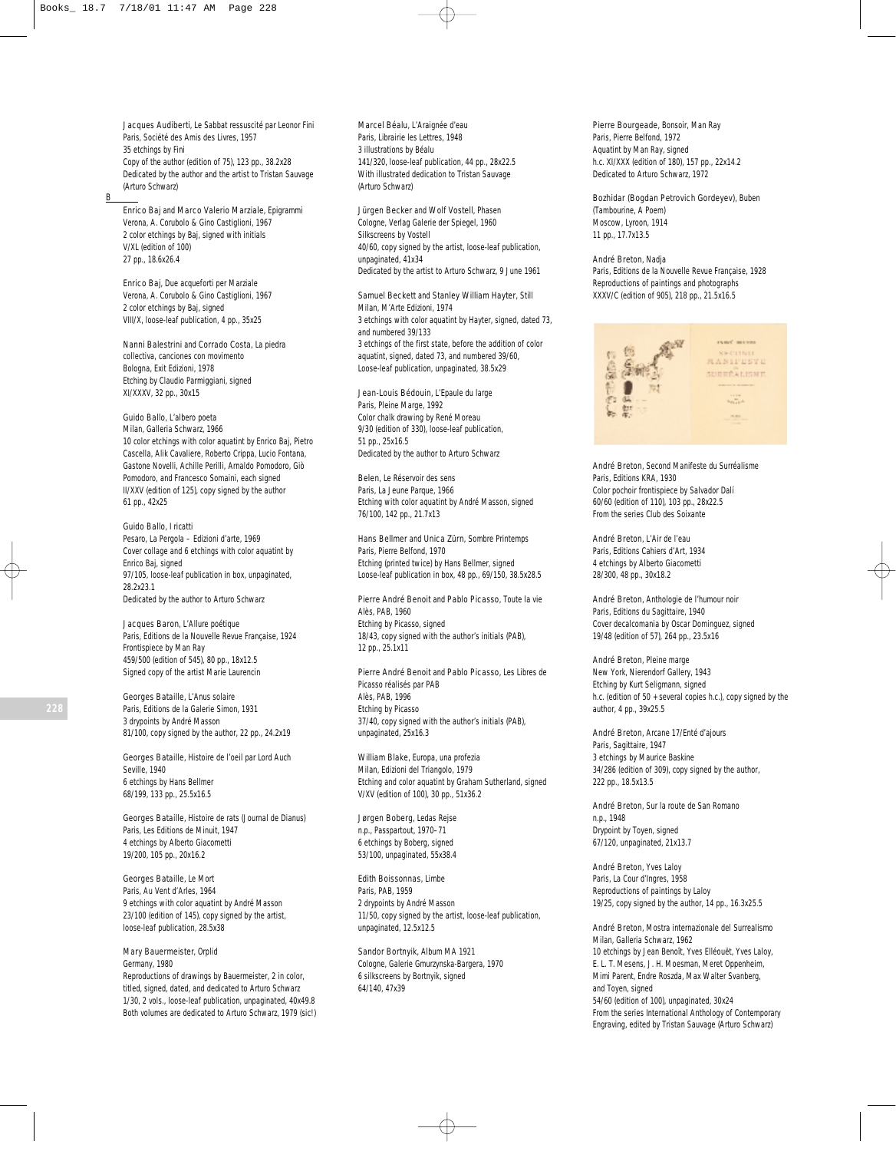Jacques Audiberti, *Le Sabbat ressuscité par Leonor Fini* Paris, Société des Amis des Livres, 1957 35 etchings by Fini Copy of the author (edition of 75), 123 pp., 38.2x28 Dedicated by the author and the artist to Tristan Sauvage (Arturo Schwarz)

B

Enrico Baj and Marco Valerio Marziale, *Epigrammi* Verona, A. Corubolo & Gino Castiglioni, 1967 2 color etchings by Baj, signed with initials V/XL (edition of 100) 27 pp., 18.6x26.4

Enrico Baj, *Due acqueforti per Marziale* Verona, A. Corubolo & Gino Castiglioni, 1967 2 color etchings by Baj, signed VIII/X, loose-leaf publication, 4 pp., 35x25

Nanni Balestrini and Corrado Costa, *La piedra collectiva, canciones con movimento* Bologna, Exit Edizioni, 1978 Etching by Claudio Parmiggiani, signed XI/XXXV, 32 pp., 30x15

# Guido Ballo, *L'albero poeta*

Milan, Galleria Schwarz, 1966 10 color etchings with color aquatint by Enrico Baj, Pietro Cascella, Alik Cavaliere, Roberto Crippa, Lucio Fontana, Gastone Novelli, Achille Perilli, Arnaldo Pomodoro, Giò Pomodoro, and Francesco Somaini, each signed II/XXV (edition of 125), copy signed by the author 61 pp., 42x25

Guido Ballo, *I ricatti* Pesaro, La Pergola – Edizioni d'arte, 1969 Cover collage and 6 etchings with color aquatint by Enrico Baj, signed 97/105, loose-leaf publication in box, unpaginated, 28.2x23.1 Dedicated by the author to Arturo Schwarz

Jacques Baron, *L'Allure poétique* Paris, Editions de la Nouvelle Revue Française, 1924 Frontispiece by Man Ray 459/500 (edition of 545), 80 pp., 18x12.5 Signed copy of the artist Marie Laurencin

Georges Bataille, *L'Anus solaire* Paris, Editions de la Galerie Simon, 1931 3 drypoints by André Masson 81/100, copy signed by the author, 22 pp., 24.2x19

Georges Bataille, *Histoire de l'oeil par Lord Auch* Seville, 1940 6 etchings by Hans Bellmer 68/199, 133 pp., 25.5x16.5

Georges Bataille, *Histoire de rats (Journal de Dianus)* Paris, Les Editions de Minuit, 1947 4 etchings by Alberto Giacometti 19/200, 105 pp., 20x16.2

Georges Bataille, *Le Mort* Paris, Au Vent d'Arles, 1964 9 etchings with color aquatint by André Masson 23/100 (edition of 145), copy signed by the artist, loose-leaf publication, 28.5x38

Mary Bauermeister, *Orplid* Germany, 1980 Reproductions of drawings by Bauermeister, 2 in color, titled, signed, dated, and dedicated to Arturo Schwarz 1/30, 2 vols., loose-leaf publication, unpaginated, 40x49.8 Both volumes are dedicated to Arturo Schwarz, 1979 (sic!) Marcel Béalu, *L'Araignée d'eau* Paris, Librairie les Lettres, 1948 3 illustrations by Béalu 141/320, loose-leaf publication, 44 pp., 28x22.5 With illustrated dedication to Tristan Sauvage (Arturo Schwarz)

Jürgen Becker and Wolf Vostell, *Phasen* Cologne, Verlag Galerie der Spiegel, 1960 Silkscreens by Vostell 40/60, copy signed by the artist, loose-leaf publication, unpaginated, 41x34 Dedicated by the artist to Arturo Schwarz, 9 June 1961

Samuel Beckett and Stanley William Hayter, *Still* Milan, M'Arte Edizioni, 1974 3 etchings with color aquatint by Hayter, signed, dated 73, and numbered 39/133 3 etchings of the first state, before the addition of color aquatint, signed, dated 73, and numbered 39/60, Loose-leaf publication, unpaginated, 38.5x29

#### Jean-Louis Bédouin, *L'Epaule du large*

Paris, Pleine Marge, 1992 Color chalk drawing by René Moreau 9/30 (edition of 330), loose-leaf publication, 51 pp., 25x16.5 Dedicated by the author to Arturo Schwarz

Belen, *Le Réservoir des sens* Paris, La Jeune Parque, 1966 Etching with color aquatint by André Masson, signed 76/100, 142 pp., 21.7x13

Hans Bellmer and Unica Zürn, *Sombre Printemps* Paris, Pierre Belfond, 1970 Etching (printed twice) by Hans Bellmer, signed Loose-leaf publication in box, 48 pp., 69/150, 38.5x28.5

Pierre André Benoit and Pablo Picasso, *Toute la vie* Alès, PAB, 1960 Etching by Picasso, signed 18/43, copy signed with the author's initials (PAB), 12 pp., 25.1x11

Pierre André Benoit and Pablo Picasso, *Les Libres de Picasso réalisés par PAB* Alès, PAB, 1996 Etching by Picasso 37/40, copy signed with the author's initials (PAB), unpaginated, 25x16.3

William Blake, *Europa, una profezia* Milan, Edizioni del Triangolo, 1979 Etching and color aquatint by Graham Sutherland, signed V/XV (edition of 100), 30 pp., 51x36.2

Jørgen Boberg, *Ledas Rejse* n.p., Passpartout, 1970–71 6 etchings by Boberg, signed 53/100, unpaginated, 55x38.4

Edith Boissonnas, *Limbe* Paris, PAB, 1959 2 drypoints by André Masson 11/50, copy signed by the artist, loose-leaf publication, unpaginated, 12.5x12.5

Sandor Bortnyik, *Album MA 1921* Cologne, Galerie Gmurzynska-Bargera, 1970 6 silkscreens by Bortnyik, signed 64/140, 47x39

Pierre Bourgeade, *Bonsoir, Man Ray* Paris, Pierre Belfond, 1972 Aquatint by Man Ray, signed h.c. XI/XXX (edition of 180), 157 pp., 22x14.2 Dedicated to Arturo Schwarz, 1972

Bozhidar (Bogdan Petrovich Gordeyev), *Buben* (Tambourine, A Poem) Moscow, Lyroon, 1914 11 pp., 17.7x13.5

André Breton, *Nadja* Paris, Editions de la Nouvelle Revue Française, 1928 Reproductions of paintings and photographs XXXV/C (edition of 905), 218 pp., 21.5x16.5



André Breton, *Second Manifeste du Surréalisme* Paris, Editions KRA, 1930 Color pochoir frontispiece by Salvador Dalí 60/60 (edition of 110), 103 pp., 28x22.5 From the series *Club des Soixante*

André Breton, *L'Air de l'eau* Paris, Editions Cahiers d'Art, 1934 4 etchings by Alberto Giacometti 28/300, 48 pp., 30x18.2

André Breton, *Anthologie de l'humour noir* Paris, Editions du Sagittaire, 1940 Cover decalcomania by Oscar Dominguez, signed 19/48 (edition of 57), 264 pp., 23.5x16

André Breton, *Pleine marge* New York, Nierendorf Gallery, 1943 Etching by Kurt Seligmann, signed h.c. (edition of 50 + several copies h.c.), copy signed by the author, 4 pp., 39x25.5

André Breton, *Arcane 17/Enté d'ajours* Paris, Sagittaire, 1947 3 etchings by Maurice Baskine 34/286 (edition of 309), copy signed by the author, 222 pp., 18.5x13.5

André Breton, *Sur la route de San Romano* n.<sub>p.</sub> 1948 Drypoint by Toyen, signed 67/120, unpaginated, 21x13.7

André Breton, *Yves Laloy* Paris, La Cour d'Ingres, 1958 Reproductions of paintings by Laloy 19/25, copy signed by the author, 14 pp., 16.3x25.5

André Breton, *Mostra internazionale del Surrealismo* Milan, Galleria Schwarz, 1962 10 etchings by Jean Benoît, Yves Elléouët, Yves Laloy, E. L. T. Mesens, J. H. Moesman, Meret Oppenheim, Mimi Parent, Endre Roszda, Max Walter Svanberg, and Toyen, signed 54/60 (edition of 100), unpaginated, 30x24 From the series *International Anthology of Contemporary Engraving*, edited by Tristan Sauvage (Arturo Schwarz)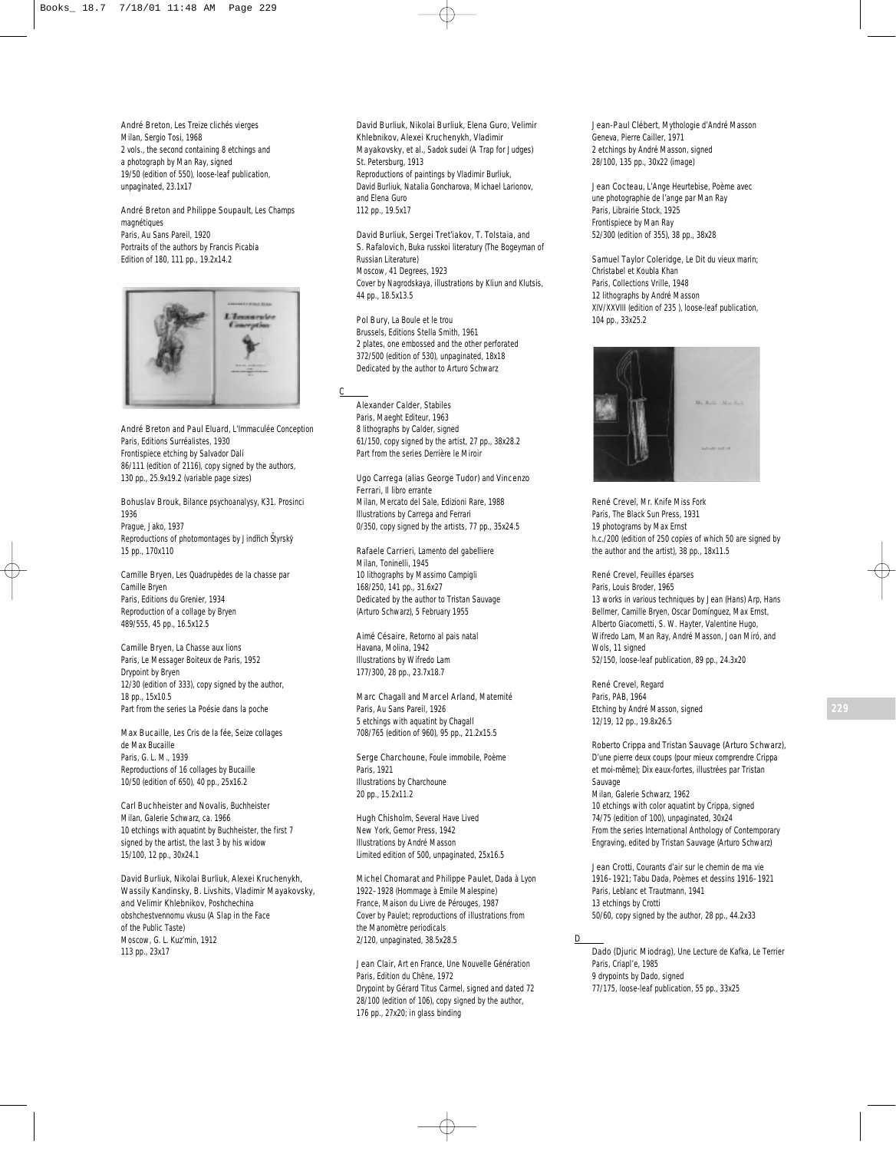André Breton, *Les Treize clichés vierges* Milan, Sergio Tosi, 1968 2 vols., the second containing 8 etchings and a photograph by Man Ray, signed 19/50 (edition of 550), loose-leaf publication, unpaginated, 23.1x17

André Breton and Philippe Soupault, *Les Champs magnétiques* Paris, Au Sans Pareil, 1920 Portraits of the authors by Francis Picabia Edition of 180, 111 pp., 19.2x14.2



André Breton and Paul Eluard, *L'Immaculée Conception* Paris, Editions Surréalistes, 1930 Frontispiece etching by Salvador Dalí 86/111 (edition of 2116), copy signed by the authors, 130 pp., 25.9x19.2 (variable page sizes)

Bohuslav Brouk, *Bilance psychoanalysy, K31. Prosinci 1936* Prague, Jako, 1937 Reproductions of photomontages by Jindřich Štyrský 15 pp., 170x110

Camille Bryen, *Les Quadrupèdes de la chasse par Camille Bryen* Paris, Editions du Grenier, 1934 Reproduction of a collage by Bryen 489/555, 45 pp., 16.5x12.5

Camille Bryen, *La Chasse aux lions* Paris, Le Messager Boiteux de Paris, 1952 Drypoint by Bryen 12/30 (edition of 333), copy signed by the author, 18 pp., 15x10.5 Part from the series *La Poésie dans la poche*

Max Bucaille, *Les Cris de la fée, Seize collages de Max Bucaille* Paris, G. L. M., 1939 Reproductions of 16 collages by Bucaille 10/50 (edition of 650), 40 pp., 25x16.2

Carl Buchheister and Novalis, *Buchheister* Milan, Galerie Schwarz, ca. 1966 10 etchings with aquatint by Buchheister, the first 7 signed by the artist, the last 3 by his widow 15/100, 12 pp., 30x24.1

David Burliuk, Nikolai Burliuk, Alexei Kruchenykh, Wassily Kandinsky, B. Livshits, Vladimir Mayakovsky, and Velimir Khlebnikov, *Poshchechina obshchestvennomu vkusu (A Slap in the Face of the Public Taste)* Moscow, G. L. Kuz'min, 1912 113 pp., 23x17

David Burliuk, Nikolai Burliuk, Elena Guro, Velimir Khlebnikov, Alexei Kruchenykh, Vladimir Mayakovsky, et al., *Sadok sudei* (A Trap for Judges) St. Petersburg, 1913 Reproductions of paintings by Vladimir Burliuk, David Burliuk, Natalia Goncharova, Michael Larionov, and Elena Guro 112 pp., 19.5x17

David Burliuk, Sergei Tret'iakov, T. Tolstaia, and S. Rafalovich, *Buka russkoi literatury* (The Bogeyman of Russian Literature) Moscow, 41 Degrees, 1923 Cover by Nagrodskaya, illustrations by Kliun and Klutsis, 44 pp., 18.5x13.5

Pol Bury, *La Boule et le trou* Brussels, Editions Stella Smith, 1961 2 plates, one embossed and the other perforated 372/500 (edition of 530), unpaginated, 18x18 Dedicated by the author to Arturo Schwarz

C

Alexander Calder, *Stabiles*  Paris, Maeght Editeur, 1963 8 lithographs by Calder, signed 61/150, copy signed by the artist, 27 pp., 38x28.2 Part from the series *Derrière le Miroir*

Ugo Carrega (alias George Tudor) and Vincenzo Ferrari, *Il libro errante* Milan, Mercato del Sale, Edizioni Rare, 1988 Illustrations by Carrega and Ferrari 0/350, copy signed by the artists, 77 pp., 35x24.5

Rafaele Carrieri, *Lamento del gabelliere* Milan, Toninelli, 1945 10 lithographs by Massimo Campigli 168/250, 141 pp., 31.6x27 Dedicated by the author to Tristan Sauvage (Arturo Schwarz), 5 February 1955

Aimé Césaire, *Retorno al pais natal* Havana, Molina, 1942 Illustrations by Wifredo Lam 177/300, 28 pp., 23.7x18.7

Marc Chagall and Marcel Arland, *Maternité* Paris, Au Sans Pareil, 1926 5 etchings with aquatint by Chagall 708/765 (edition of 960), 95 pp., 21.2x15.5

Serge Charchoune, *Foule immobile, Poème* Paris, 1921 Illustrations by Charchoune 20 pp., 15.2x11.2

Hugh Chisholm, *Several Have Lived* New York, Gemor Press, 1942 Illustrations by André Masson Limited edition of 500, unpaginated, 25x16.5

Michel Chomarat and Philippe Paulet, *Dada à Lyon 1922–1928 (Hommage à Emile Malespine)* France, Maison du Livre de Pérouges, 1987 Cover by Paulet; reproductions of illustrations from the *Manomètre* periodicals 2/120, unpaginated, 38.5x28.5

Jean Clair, *Art en France, Une Nouvelle Génération* Paris, Edition du Chêne, 1972 Drypoint by Gérard Titus Carmel, signed and dated 72 28/100 (edition of 106), copy signed by the author, 176 pp., 27x20; in glass binding

Jean-Paul Clébert, *Mythologie d'André Masson* Geneva, Pierre Cailler, 1971 2 etchings by André Masson, signed 28/100, 135 pp., 30x22 (image)

Jean Cocteau, *L'Ange Heurtebise, Poème avec une photographie de l'ange par Man Ray* Paris, Librairie Stock, 1925 Frontispiece by Man Ray 52/300 (edition of 355), 38 pp., 38x28

Samuel Taylor Coleridge, *Le Dit du vieux marin; Christabel et Koubla Khan* Paris, Collections Vrille, 1948 12 lithographs by André Masson XIV/XXVIII (edition of 235 ), loose-leaf publication, 104 pp., 33x25.2



René Crevel, *Mr. Knife Miss Fork* Paris, The Black Sun Press, 1931 19 photograms by Max Ernst h.c./200 (edition of 250 copies of which 50 are signed by the author and the artist), 38 pp., 18x11.5

René Crevel, *Feuilles éparses* Paris, Louis Broder, 1965 13 works in various techniques by Jean (Hans) Arp, Hans Bellmer, Camille Bryen, Oscar Domínguez, Max Ernst, Alberto Giacometti, S. W. Hayter, Valentine Hugo, Wifredo Lam, Man Ray, André Masson, Joan Miró, and Wols, 11 signed 52/150, loose-leaf publication, 89 pp., 24.3x20

René Crevel, *Regard* Paris, PAB, 1964 Etching by André Masson, signed 12/19, 12 pp., 19.8x26.5

Roberto Crippa and Tristan Sauvage (Arturo Schwarz), *D'une pierre deux coups (pour mieux comprendre Crippa et moi-même); Dix eaux-fortes, illustrées par Tristan Sauvage*  Milan, Galerie Schwarz, 1962 10 etchings with color aquatint by Crippa, signed 74/75 (edition of 100), unpaginated, 30x24 From the series *International Anthology of Contemporary Engraving*, edited by Tristan Sauvage (Arturo Schwarz)

Jean Crotti, *Courants d'air sur le chemin de ma vie 1916–1921; Tabu Dada, Poèmes et dessins 1916–1921* Paris, Leblanc et Trautmann, 1941 13 etchings by Crotti 50/60, copy signed by the author, 28 pp., 44.2x33

## D

Dado (Djuric Miodrag), *Une Lecture de Kafka, Le Terrier* Paris, Criapl'e, 1985 9 drypoints by Dado, signed 77/175, loose-leaf publication, 55 pp., 33x25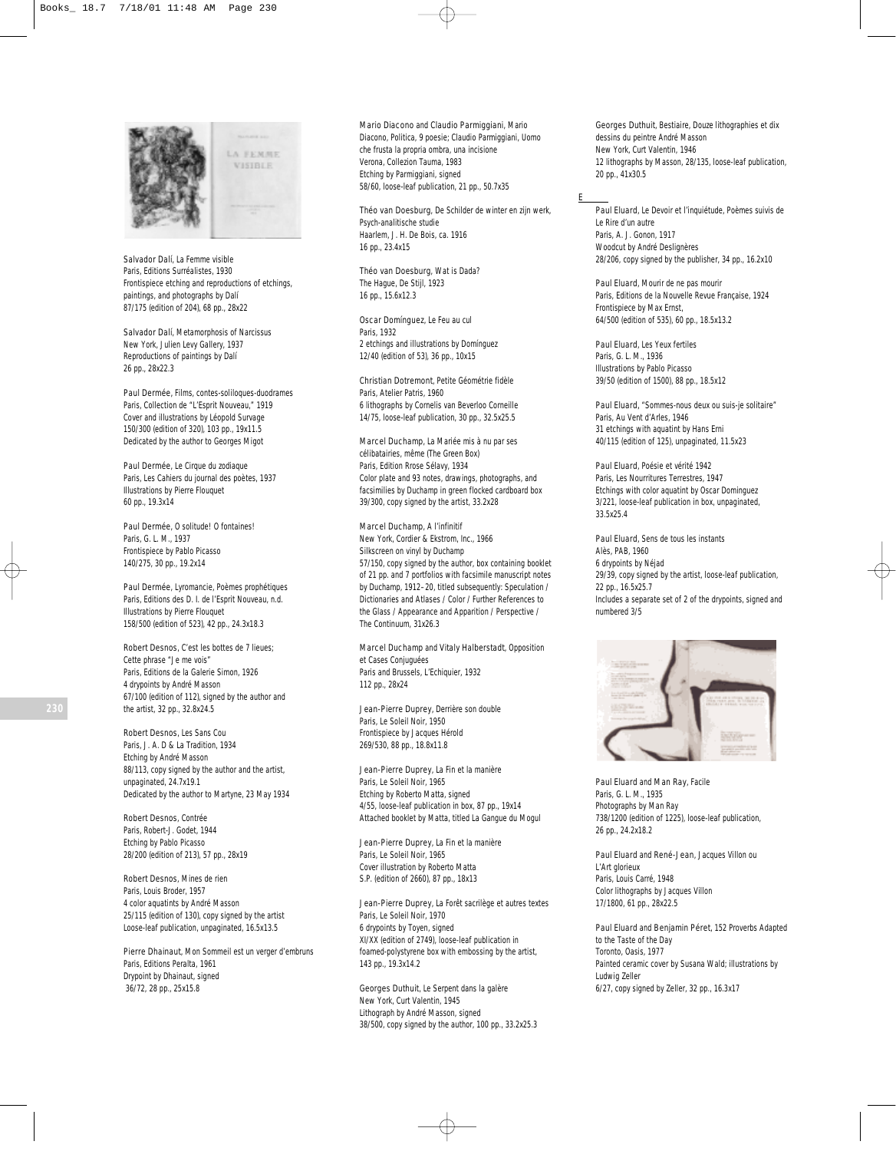

**LA FEMME VISIBLE** 

Salvador Dalí, *La Femme visible* Paris, Editions Surréalistes, 1930 Frontispiece etching and reproductions of etchings, paintings, and photographs by Dalí 87/175 (edition of 204), 68 pp., 28x22

Salvador Dalí, *Metamorphosis of Narcissus* New York, Julien Levy Gallery, 1937 Reproductions of paintings by Dalí 26 pp., 28x22.3

Paul Dermée, *Films*, *contes-soliloques-duodrames* Paris, Collection de "L'Esprit Nouveau," 1919 Cover and illustrations by Léopold Survage 150/300 (edition of 320), 103 pp., 19x11.5 Dedicated by the author to Georges Migot

Paul Dermée, *Le Cirque du zodiaque* Paris, Les Cahiers du journal des poètes, 1937 Illustrations by Pierre Flouquet 60 pp., 19.3x14

Paul Dermée, *O solitude! O fontaines!* Paris, G. L. M., 1937 Frontispiece by Pablo Picasso 140/275, 30 pp., 19.2x14

Paul Dermée, *Lyromancie*, *Poèmes prophétiques* Paris, Editions des D. I. de l'Esprit Nouveau, n.d. Illustrations by Pierre Flouquet 158/500 (edition of 523), 42 pp., 24.3x18.3

Robert Desnos, *C'est les bottes de 7 lieues; Cette phrase "Je me vois"* Paris, Editions de la Galerie Simon, 1926 4 drypoints by André Masson 67/100 (edition of 112), signed by the author and the artist, 32 pp., 32.8x24.5

Robert Desnos, *Les Sans Cou* Paris, J. A. D & La Tradition, 1934 Etching by André Masson 88/113, copy signed by the author and the artist, unpaginated, 24.7x19.1 Dedicated by the author to Martyne, 23 May 1934

Robert Desnos, *Contrée* Paris, Robert-J. Godet, 1944 Etching by Pablo Picasso 28/200 (edition of 213), 57 pp., 28x19

Robert Desnos, *Mines de rien* Paris, Louis Broder, 1957 4 color aquatints by André Masson 25/115 (edition of 130), copy signed by the artist Loose-leaf publication, unpaginated, 16.5x13.5

Pierre Dhainaut, *Mon Sommeil est un verger d'embruns* Paris, Editions Peralta, 1961 Drypoint by Dhainaut, signed 36/72, 28 pp., 25x15.8

Mario Diacono and Claudio Parmiggiani, *Mario Diacono*, *Politica, 9 poesie; Claudio Parmiggiani, Uomo che frusta la propria ombra, una incisione* Verona, Collezion Tauma, 1983 Etching by Parmiggiani, signed 58/60, loose-leaf publication, 21 pp., 50.7x35

Théo van Doesburg, *De Schilder de winter en zijn werk, Psych-analitische studie* Haarlem, J. H. De Bois, ca. 1916 16 pp., 23.4x15

Théo van Doesburg, *Wat is Dada?* The Hague, De Stijl, 1923 16 pp., 15.6x12.3

Oscar Domínguez, *Le Feu au cul* Paris, 1932 2 etchings and illustrations by Domínguez 12/40 (edition of 53), 36 pp., 10x15

Christian Dotremont, *Petite Géométrie fidèle* Paris, Atelier Patris, 1960 6 lithographs by Cornelis van Beverloo Corneille 14/75, loose-leaf publication, 30 pp., 32.5x25.5

Marcel Duchamp, *La Mariée mis à nu par ses célibatairies, même (The Green Box)* Paris, Edition Rrose Sélavy, 1934 Color plate and 93 notes, drawings, photographs, and facsimilies by Duchamp in green flocked cardboard box 39/300, copy signed by the artist, 33.2x28

Marcel Duchamp, *A l'infinitif* New York, Cordier & Ekstrom, Inc., 1966 Silkscreen on vinyl by Duchamp 57/150, copy signed by the author, box containing booklet of 21 pp. and 7 portfolios with facsimile manuscript notes by Duchamp, 1912–20, titled subsequently: *Speculation / Dictionaries and Atlases / Color / Further References to the Glass / Appearance and Apparition / Perspective / The Continuum*, 31x26.3

Marcel Duchamp and Vitaly Halberstadt, *Opposition et Cases Conjuguées* Paris and Brussels, L'Echiquier, 1932 112 pp., 28x24

Jean-Pierre Duprey, *Derrière son double* Paris, Le Soleil Noir, 1950 Frontispiece by Jacques Hérold 269/530, 88 pp., 18.8x11.8

Jean-Pierre Duprey, *La Fin et la manière* Paris, Le Soleil Noir, 1965 Etching by Roberto Matta, signed 4/55, loose-leaf publication in box, 87 pp., 19x14 Attached booklet by Matta, titled *La Gangue du Mogul*

Jean-Pierre Duprey, *La Fin et la manière* Paris, Le Soleil Noir, 1965 Cover illustration by Roberto Matta S.P. (edition of 2660), 87 pp., 18x13

Jean-Pierre Duprey, *La Forêt sacrilège et autres textes* Paris, Le Soleil Noir, 1970 6 drypoints by Toyen, signed XI/XX (edition of 2749), loose-leaf publication in foamed-polystyrene box with embossing by the artist, 143 pp., 19.3x14.2

Georges Duthuit, *Le Serpent dans la galère* New York, Curt Valentin, 1945 Lithograph by André Masson, signed 38/500, copy signed by the author, 100 pp., 33.2x25.3 Georges Duthuit, *Bestiaire, Douze lithographies et dix dessins du peintre André Masson* New York, Curt Valentin, 1946 12 lithographs by Masson, 28/135, loose-leaf publication, 20 pp., 41x30.5

## E

Paul Eluard, *Le Devoir et l'inquiétude, Poèmes suivis de Le Rire d'un autre* Paris, A. J. Gonon, 1917 Woodcut by André Deslignères 28/206, copy signed by the publisher, 34 pp., 16.2x10

Paul Eluard, *Mourir de ne pas mourir* Paris, Editions de la Nouvelle Revue Française, 1924 Frontispiece by Max Ernst, 64/500 (edition of 535), 60 pp., 18.5x13.2

Paul Eluard, *Les Yeux fertiles* Paris, G. L. M., 1936 Illustrations by Pablo Picasso 39/50 (edition of 1500), 88 pp., 18.5x12

Paul Eluard, *"Sommes-nous deux ou suis-je solitaire"* Paris, Au Vent d'Arles, 1946 31 etchings with aquatint by Hans Erni 40/115 (edition of 125), unpaginated, 11.5x23

Paul Eluard, *Poésie et vérité 1942* Paris, Les Nourritures Terrestres, 1947 Etchings with color aquatint by Oscar Dominguez 3/221, loose-leaf publication in box, unpaginated, 33.5x25.4

Paul Eluard, *Sens de tous les instants* Alès, PAB, 1960 6 drypoints by Néjad 29/39, copy signed by the artist, loose-leaf publication, 22 pp., 16.5x25.7 Includes a separate set of 2 of the drypoints, signed and numbered 3/5



Paul Eluard and Man Ray, *Facile* Paris, G. L. M., 1935 Photographs by Man Ray 738/1200 (edition of 1225), loose-leaf publication, 26 pp., 24.2x18.2

Paul Eluard and René-Jean, *Jacques Villon ou L'Art glorieux* Paris, Louis Carré, 1948 Color lithographs by Jacques Villon 17/1800, 61 pp., 28x22.5

Paul Eluard and Benjamin Péret, *152 Proverbs Adapted to the Taste of the Day* Toronto, Oasis, 1977 Painted ceramic cover by Susana Wald; illustrations by Ludwig Zeller 6/27, copy signed by Zeller, 32 pp., 16.3x17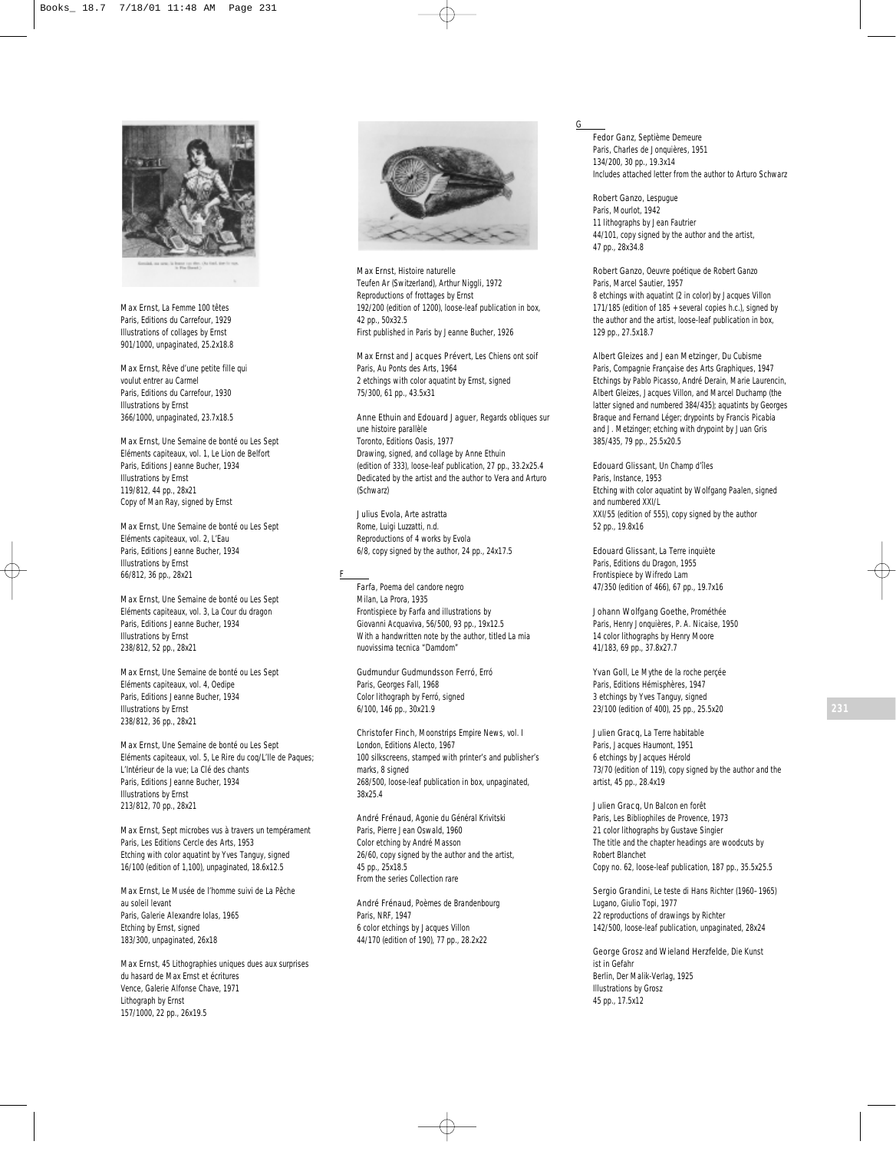

Max Ernst, *La Femme 100 têtes* Paris, Editions du Carrefour, 1929 Illustrations of collages by Ernst 901/1000, unpaginated, 25.2x18.8

Max Ernst, *Rêve d'une petite fille qui voulut entrer au Carmel* Paris, Editions du Carrefour, 1930 Illustrations by Ernst 366/1000, unpaginated, 23.7x18.5

Max Ernst, *Une Semaine de bonté ou Les Sept Eléments capiteaux,* vol. 1, *Le Lion de Belfort* Paris, Editions Jeanne Bucher, 1934 Illustrations by Ernst 119/812, 44 pp., 28x21 Copy of Man Ray, signed by Ernst

Max Ernst, *Une Semaine de bonté ou Les Sept Eléments capiteaux,* vol. 2*, L'Eau* Paris, Editions Jeanne Bucher, 1934 Illustrations by Ernst 66/812, 36 pp., 28x21

Max Ernst, *Une Semaine de bonté ou Les Sept Eléments capiteaux,* vol. 3*, La Cour du dragon* Paris, Editions Jeanne Bucher, 1934 Illustrations by Ernst 238/812, 52 pp., 28x21

Max Ernst, *Une Semaine de bonté ou Les Sept Eléments capiteaux,* vol. 4*, Oedipe* Paris, Editions Jeanne Bucher, 1934 Illustrations by Ernst 238/812, 36 pp., 28x21

Max Ernst, *Une Semaine de bonté ou Les Sept Eléments capiteaux,* vol. 5*, Le Rire du coq/L'Ile de Paques; L'Intérieur de la vue; La Clé des chants* Paris, Editions Jeanne Bucher, 1934 Illustrations by Ernst 213/812, 70 pp., 28x21

Max Ernst, *Sept microbes vus à travers un tempérament* Paris, Les Editions Cercle des Arts, 1953 Etching with color aquatint by Yves Tanguy, signed 16/100 (edition of 1,100), unpaginated, 18.6x12.5

Max Ernst, *Le Musée de l'homme suivi de La Pêche au soleil levant* Paris, Galerie Alexandre Iolas, 1965 Etching by Ernst, signed 183/300, unpaginated, 26x18

Max Ernst, *45 Lithographies uniques dues aux surprises du hasard de Max Ernst et écritures* Vence, Galerie Alfonse Chave, 1971 Lithograph by Ernst 157/1000, 22 pp., 26x19.5



Max Ernst, *Histoire naturelle* Teufen Ar (Switzerland), Arthur Niggli, 1972 Reproductions of frottages by Ernst 192/200 (edition of 1200), loose-leaf publication in box, 42 pp., 50x32.5 First published in Paris by Jeanne Bucher, 1926

Max Ernst and Jacques Prévert, *Les Chiens ont soif* Paris, Au Ponts des Arts, 1964 2 etchings with color aquatint by Ernst, signed 75/300, 61 pp., 43.5x31

Anne Ethuin and Edouard Jaguer, *Regards obliques sur une histoire parallèle* Toronto, Editions Oasis, 1977 Drawing, signed, and collage by Anne Ethuin (edition of 333), loose-leaf publication, 27 pp., 33.2x25.4 Dedicated by the artist and the author to Vera and Arturo (Schwarz)

Julius Evola, *Arte astratta* Rome, Luigi Luzzatti, n.d. Reproductions of 4 works by Evola 6/8, copy signed by the author, 24 pp., 24x17.5

F

Farfa, *Poema del candore negro* Milan, La Prora, 1935 Frontispiece by Farfa and illustrations by Giovanni Acquaviva, 56/500, 93 pp., 19x12.5 With a handwritten note by the author, titled *La mia nuovissima tecnica "Damdom"*

Gudmundur Gudmundsson Ferró, *Erró* Paris, Georges Fall, 1968 Color lithograph by Ferró, signed 6/100, 146 pp., 30x21.9

Christofer Finch, *Moonstrips Empire News,* vol. I London, Editions Alecto, 1967 100 silkscreens, stamped with printer's and publisher's marks, 8 signed 268/500, loose-leaf publication in box, unpaginated, 38x25.4

André Frénaud, *Agonie du Général Krivitski* Paris, Pierre Jean Oswald, 1960 Color etching by André Masson 26/60, copy signed by the author and the artist, 45 pp., 25x18.5 From the series *Collection rare*

André Frénaud, *Poèmes de Brandenbourg* Paris, NRF, 1947 6 color etchings by Jacques Villon 44/170 (edition of 190), 77 pp., 28.2x22

G

Fedor Ganz, *Septième Demeure* Paris, Charles de Jonquières, 1951 134/200, 30 pp., 19.3x14 Includes attached letter from the author to Arturo Schwarz

Robert Ganzo, *Lespugue* Paris, Mourlot, 1942 11 lithographs by Jean Fautrier 44/101, copy signed by the author and the artist, 47 pp., 28x34.8

Robert Ganzo, *Oeuvre poétique de Robert Ganzo* Paris, Marcel Sautier, 1957 8 etchings with aquatint (2 in color) by Jacques Villon 171/185 (edition of 185 + several copies h.c.), signed by the author and the artist, loose-leaf publication in box, 129 pp., 27.5x18.7

Albert Gleizes and Jean Metzinger, *Du Cubisme* Paris, Compagnie Française des Arts Graphiques, 1947 Etchings by Pablo Picasso, André Derain, Marie Laurencin, Albert Gleizes, Jacques Villon, and Marcel Duchamp (the latter signed and numbered 384/435); aquatints by Georges Braque and Fernand Léger; drypoints by Francis Picabia and J. Metzinger; etching with drypoint by Juan Gris 385/435, 79 pp., 25.5x20.5

Edouard Glissant, *Un Champ d'îles* Paris, Instance, 1953 Etching with color aquatint by Wolfgang Paalen, signed and numbered XXI/L XXI/55 (edition of 555), copy signed by the author 52 pp., 19.8x16

Edouard Glissant, *La Terre inquiète* Paris, Editions du Dragon, 1955 Frontispiece by Wifredo Lam 47/350 (edition of 466), 67 pp., 19.7x16

Johann Wolfgang Goethe, *Prométhée* Paris, Henry Jonquières, P. A. Nicaise, 1950 14 color lithographs by Henry Moore 41/183, 69 pp., 37.8x27.7

Yvan Goll, *Le Mythe de la roche perçée* Paris, Editions Hémisphères, 1947 3 etchings by Yves Tanguy, signed 23/100 (edition of 400), 25 pp., 25.5x20

Julien Gracq, *La Terre habitable* Paris, Jacques Haumont, 1951 6 etchings by Jacques Hérold 73/70 (edition of 119), copy signed by the author and the artist, 45 pp., 28.4x19

Julien Gracq, *Un Balcon en forêt* Paris, Les Bibliophiles de Provence, 1973 21 color lithographs by Gustave Singier The title and the chapter headings are woodcuts by Robert Blanchet Copy no. 62, loose-leaf publication, 187 pp., 35.5x25.5

Sergio Grandini, *Le teste di Hans Richter (1960–1965)* Lugano, Giulio Topi, 1977 22 reproductions of drawings by Richter 142/500, loose-leaf publication, unpaginated, 28x24

George Grosz and Wieland Herzfelde, *Die Kunst ist in Gefahr* Berlin, Der Malik-Verlag, 1925 Illustrations by Grosz 45 pp., 17.5x12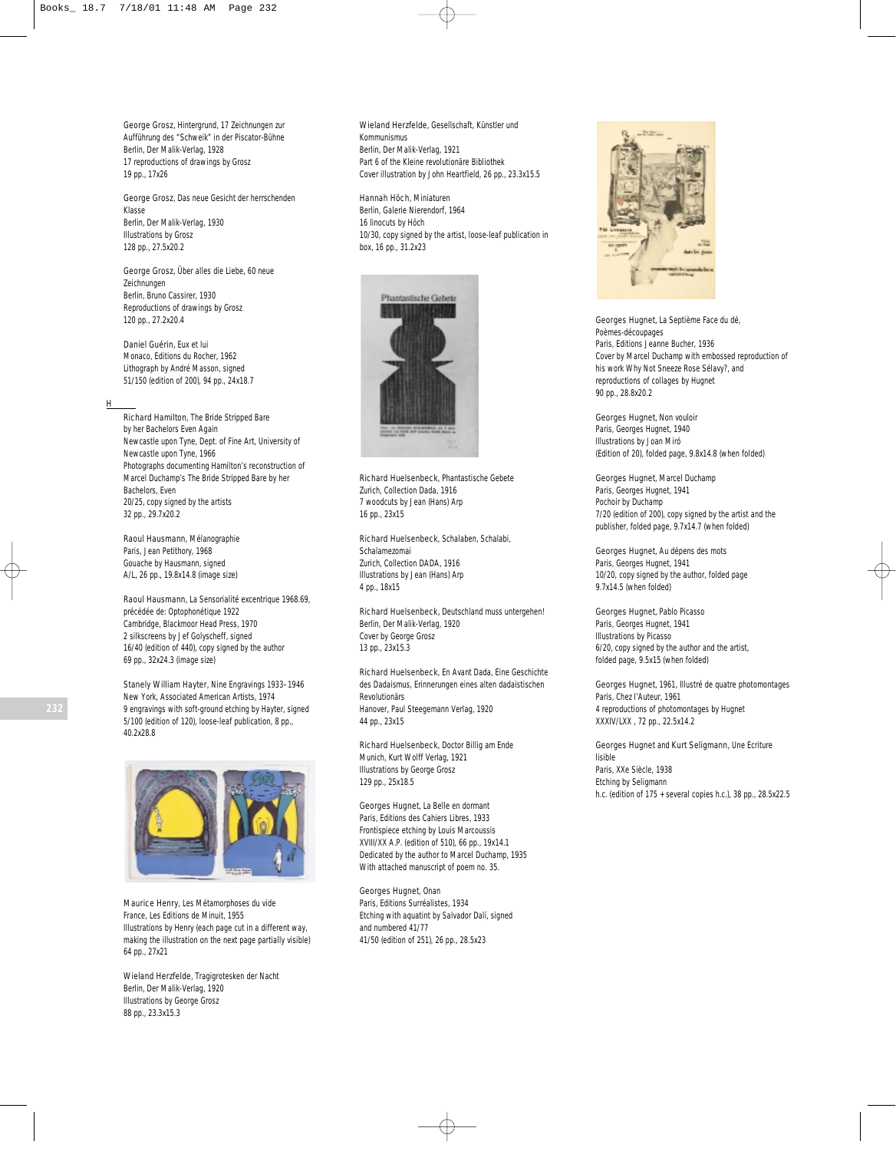George Grosz, *Hintergrund, 17 Zeichnungen zur Aufführung des "Schweik" in der Piscator-Bühne* Berlin, Der Malik-Verlag, 1928 17 reproductions of drawings by Grosz 19 pp., 17x26

George Grosz, *Das neue Gesicht der herrschenden Klasse* Berlin, Der Malik-Verlag, 1930 Illustrations by Grosz 128 pp., 27.5x20.2

George Grosz, *Über alles die Liebe, 60 neue Zeichnungen* Berlin, Bruno Cassirer, 1930 Reproductions of drawings by Grosz 120 pp., 27.2x20.4

Daniel Guérin, *Eux et lui* Monaco, Editions du Rocher, 1962 Lithograph by André Masson, signed 51/150 (edition of 200), 94 pp., 24x18.7

### H

Richard Hamilton, *The Bride Stripped Bare by her Bachelors Even Again* Newcastle upon Tyne, Dept. of Fine Art, University of Newcastle upon Tyne, 1966 Photographs documenting Hamilton's reconstruction of Marcel Duchamp's *The Bride Stripped Bare by her Bachelors, Even* 20/25, copy signed by the artists 32 pp., 29.7x20.2

Raoul Hausmann, *Mélanographie* Paris, Jean Petithory, 1968 Gouache by Hausmann, signed A/L, 26 pp., 19.8x14.8 (image size)

Raoul Hausmann, *La Sensorialité excentrique 1968.69, précédée de: Optophonétique 1922* Cambridge, Blackmoor Head Press, 1970 2 silkscreens by Jef Golyscheff, signed 16/40 (edition of 440), copy signed by the author 69 pp., 32x24.3 (image size)

Stanely William Hayter, *Nine Engravings 1933–1946* New York, Associated American Artists, 1974 9 engravings with soft-ground etching by Hayter, signed 5/100 (edition of 120), loose-leaf publication, 8 pp., 40.2x28.8



Maurice Henry, *Les Métamorphoses du vide* France, Les Editions de Minuit, 1955 Illustrations by Henry (each page cut in a different way, making the illustration on the next page partially visible) 64 pp., 27x21

Wieland Herzfelde, *Tragigrotesken der Nacht* Berlin, Der Malik-Verlag, 1920 Illustrations by George Grosz 88 pp., 23.3x15.3

Wieland Herzfelde, *Gesellschaft, Künstler und Kommunismus* Berlin, Der Malik-Verlag, 1921 Part 6 of the *Kleine revolutionäre Bibliothek* Cover illustration by John Heartfield, 26 pp., 23.3x15.5

Hannah Höch, *Miniaturen* Berlin, Galerie Nierendorf, 1964 16 linocuts by Höch 10/30, copy signed by the artist, loose-leaf publication in box, 16 pp., 31.2x23



Richard Huelsenbeck, *Phantastische Gebete* Zurich, Collection Dada, 1916 7 woodcuts by Jean (Hans) Arp 16 pp., 23x15

Richard Huelsenbeck, *Schalaben, Schalabi, Schalamezomai* Zurich, Collection DADA, 1916 Illustrations by Jean (Hans) Arp 4 pp., 18x15

Richard Huelsenbeck, *Deutschland muss untergehen!* Berlin, Der Malik-Verlag, 1920 Cover by George Grosz 13 pp., 23x15.3

Richard Huelsenbeck, *En Avant Dada, Eine Geschichte des Dadaismus, Erinnerungen eines alten dadaistischen Revolutionärs* Hanover, Paul Steegemann Verlag, 1920 44 pp., 23x15

Richard Huelsenbeck, *Doctor Billig am Ende* Munich, Kurt Wolff Verlag, 1921 Illustrations by George Grosz 129 pp., 25x18.5

Georges Hugnet, *La Belle en dormant* Paris, Editions des Cahiers Libres, 1933 Frontispiece etching by Louis Marcoussis XVIII/XX A.P. (edition of 510), 66 pp., 19x14.1 Dedicated by the author to Marcel Duchamp, 1935 With attached manuscript of poem no. 35.

Georges Hugnet, *Onan* Paris, Editions Surréalistes, 1934 Etching with aquatint by Salvador Dalí, signed and numbered 41/77 41/50 (edition of 251), 26 pp., 28.5x23



Georges Hugnet, *La Septième Face du dé, Poèmes-découpages* Paris, Editions Jeanne Bucher, 1936 Cover by Marcel Duchamp with embossed reproduction of his work *Why Not Sneeze Rose Sélavy?*, and reproductions of collages by Hugnet 90 pp., 28.8x20.2

Georges Hugnet, *Non vouloir* Paris, Georges Hugnet, 1940 Illustrations by Joan Miró (Edition of 20), folded page, 9.8x14.8 (when folded)

Georges Hugnet, *Marcel Duchamp* Paris, Georges Hugnet, 1941 Pochoir by Duchamp 7/20 (edition of 200), copy signed by the artist and the publisher, folded page, 9.7x14.7 (when folded)

Georges Hugnet, *Au dépens des mots* Paris, Georges Hugnet, 1941 10/20, copy signed by the author, folded page 9.7x14.5 (when folded)

Georges Hugnet, *Pablo Picasso* Paris, Georges Hugnet, 1941 Illustrations by Picasso 6/20, copy signed by the author and the artist, folded page, 9.5x15 (when folded)

Georges Hugnet, *1961, Illustré de quatre photomontages* Paris, Chez l'Auteur, 1961 4 reproductions of photomontages by Hugnet XXXIV/LXX , 72 pp., 22.5x14.2

Georges Hugnet and Kurt Seligmann, *Une Ecriture lisible* Paris, XXe Siècle, 1938 Etching by Seligmann h.c. (edition of 175 + several copies h.c.), 38 pp., 28.5x22.5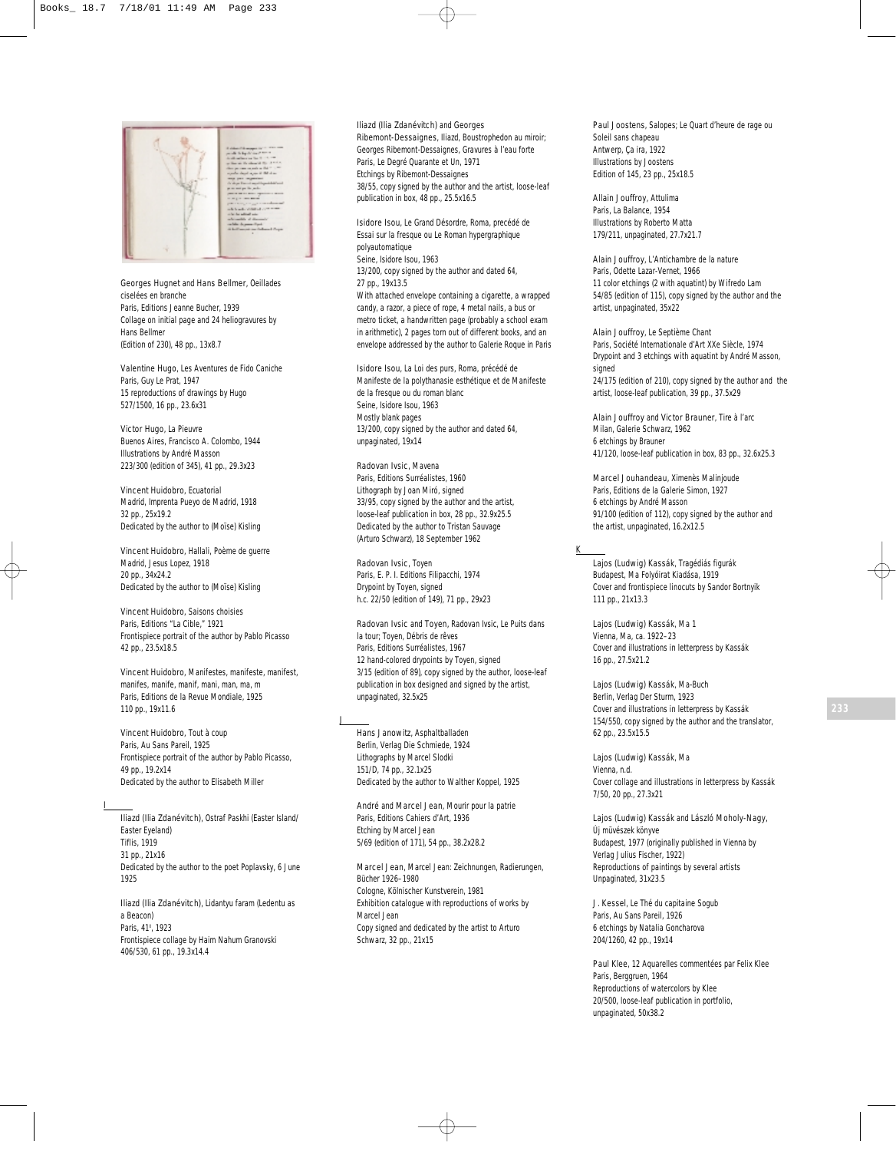

Georges Hugnet and Hans Bellmer, *Oeillades ciselées en branche* Paris, Editions Jeanne Bucher, 1939 Collage on initial page and 24 heliogravures by Hans Bellmer (Edition of 230), 48 pp., 13x8.7

Valentine Hugo, *Les Aventures de Fido Caniche* Paris, Guy Le Prat, 1947 15 reproductions of drawings by Hugo 527/1500, 16 pp., 23.6x31

Victor Hugo, *La Pieuvre* Buenos Aires, Francisco A. Colombo, 1944 Illustrations by André Masson 223/300 (edition of 345), 41 pp., 29.3x23

Vincent Huidobro, *Ecuatorial* Madrid, Imprenta Pueyo de Madrid, 1918 32 pp., 25x19.2 Dedicated by the author to (Moïse) Kisling

Vincent Huidobro, *Hallali, Poème de guerre* Madrid, Jesus Lopez, 1918 20 pp., 34x24.2 Dedicated by the author to (Moïse) Kisling

Vincent Huidobro, *Saisons choisies* Paris, Editions "La Cible," 1921 Frontispiece portrait of the author by Pablo Picasso 42 pp., 23.5x18.5

Vincent Huidobro, *Manifestes, manifeste, manifest, manifes, manife, manif, mani, man, ma, m* Paris, Editions de la Revue Mondiale, 1925 110 pp., 19x11.6

Vincent Huidobro, *Tout à coup* Paris, Au Sans Pareil, 1925 Frontispiece portrait of the author by Pablo Picasso, 49 pp., 19.2x14 Dedicated by the author to Elisabeth Miller

I

Iliazd (Ilia Zdanévitch), *Ostraf Paskhi* (Easter Island/ Easter Eyeland) Tiflis, 1919 31 pp., 21x16 Dedicated by the author to the poet Poplavsky, 6 June 1925

Iliazd (Ilia Zdanévitch), *Lidantyu faram* (Ledentu as a Beacon) Paris, 41<sup>°</sup>, 1923 Frontispiece collage by Haim Nahum Granovski 406/530, 61 pp., 19.3x14.4

Iliazd (Ilia Zdanévitch) and Georges Ribemont-Dessaignes, *Iliazd, Boustrophedon au miroir; Georges Ribemont-Dessaignes, Gravures à l'eau forte* Paris, Le Degré Quarante et Un, 1971 Etchings by Ribemont-Dessaignes 38/55, copy signed by the author and the artist, loose-leaf publication in box, 48 pp., 25.5x16.5

Isidore Isou, *Le Grand Désordre, Roma, precédé de Essai sur la fresque ou Le Roman hypergraphique polyautomatique* Seine, Isidore Isou, 1963 13/200, copy signed by the author and dated 64, 27 pp., 19x13.5 With attached envelope containing a cigarette, a wrapped candy, a razor, a piece of rope, 4 metal nails, a bus or metro ticket, a handwritten page (probably a school exam in arithmetic), 2 pages torn out of different books, and an envelope addressed by the author to Galerie Roque in Paris

Isidore Isou, *La Loi des purs, Roma, précédé de Manifeste de la polythanasie esthétique et de Manifeste de la fresque ou du roman blanc* Seine, Isidore Isou, 1963 Mostly blank pages 13/200, copy signed by the author and dated 64, unpaginated, 19x14

Radovan Ivsic, *Mavena* Paris, Editions Surréalistes, 1960 Lithograph by Joan Miró, signed 33/95, copy signed by the author and the artist, loose-leaf publication in box, 28 pp., 32.9x25.5 Dedicated by the author to Tristan Sauvage (Arturo Schwarz), 18 September 1962

Radovan Ivsic, *Toyen* Paris, E. P. I. Editions Filipacchi, 1974 Drypoint by Toyen, signed h.c. 22/50 (edition of 149), 71 pp., 29x23

Radovan Ivsic and Toyen, *Radovan Ivsic*, *Le Puits dans la tour; Toyen, Débris de rêves* Paris, Editions Surréalistes, 1967 12 hand-colored drypoints by Toyen, signed 3/15 (edition of 89), copy signed by the author, loose-leaf publication in box designed and signed by the artist, unpaginated, 32.5x25

J

Hans Janowitz, *Asphaltballaden* Berlin, Verlag Die Schmiede, 1924 Lithographs by Marcel Slodki 151/D, 74 pp., 32.1x25 Dedicated by the author to Walther Koppel, 1925

André and Marcel Jean, *Mourir pour la patrie* Paris, Editions Cahiers d'Art, 1936 Etching by Marcel Jean 5/69 (edition of 171), 54 pp., 38.2x28.2

Marcel Jean, *Marcel Jean: Zeichnungen, Radierungen, Bücher 1926–1980* Cologne, Kölnischer Kunstverein, 1981 Exhibition catalogue with reproductions of works by Marcel Jean Copy signed and dedicated by the artist to Arturo Schwarz, 32 pp., 21x15

Paul Joostens, *Salopes; Le Quart d'heure de rage ou Soleil sans chapeau* Antwerp, Ça ira, 1922 Illustrations by Joostens Edition of 145, 23 pp., 25x18.5

Allain Jouffroy, *Attulima* Paris, La Balance, 1954 Illustrations by Roberto Matta 179/211, unpaginated, 27.7x21.7

Alain Jouffroy, *L'Antichambre de la nature* Paris, Odette Lazar-Vernet, 1966 11 color etchings (2 with aquatint) by Wifredo Lam 54/85 (edition of 115), copy signed by the author and the artist, unpaginated, 35x22

Alain Jouffroy, *Le Septième Chant* Paris, Société Internationale d'Art XXe Siècle, 1974 Drypoint and 3 etchings with aquatint by André Masson, signed 24/175 (edition of 210), copy signed by the author and the artist, loose-leaf publication, 39 pp., 37.5x29

Alain Jouffroy and Victor Brauner, *Tire à l'arc* Milan, Galerie Schwarz, 1962 6 etchings by Brauner 41/120, loose-leaf publication in box, 83 pp., 32.6x25.3

Marcel Jouhandeau, *Ximenès Malinjoude* Paris, Editions de la Galerie Simon, 1927 6 etchings by André Masson 91/100 (edition of 112), copy signed by the author and the artist, unpaginated, 16.2x12.5

K

Lajos (Ludwig) Kassák, *Tragédiás figurák* Budapest, Ma Folyóirat Kiadása, 1919 Cover and frontispiece linocuts by Sandor Bortnyik 111 pp., 21x13.3

Lajos (Ludwig) Kassák, *Ma 1* Vienna, Ma, ca. 1922–23 Cover and illustrations in letterpress by Kassák 16 pp., 27.5x21.2

Lajos (Ludwig) Kassák, *Ma-Buch* Berlin, Verlag Der Sturm, 1923 Cover and illustrations in letterpress by Kassák 154/550, copy signed by the author and the translator, 62 pp., 23.5x15.5

Lajos (Ludwig) Kassák, *Ma* Vienna, n.d. Cover collage and illustrations in letterpress by Kassák 7/50, 20 pp., 27.3x21

Lajos (Ludwig) Kassák and László Moholy-Nagy, *Új müvészek könyve* Budapest, 1977 (originally published in Vienna by Verlag Julius Fischer, 1922) Reproductions of paintings by several artists Unpaginated, 31x23.5

J. Kessel, *Le Thé du capitaine Sogub* Paris, Au Sans Pareil, 1926 6 etchings by Natalia Goncharova 204/1260, 42 pp., 19x14

Paul Klee, *12 Aquarelles commentées par Felix Klee* Paris, Berggruen, 1964 Reproductions of watercolors by Klee 20/500, loose-leaf publication in portfolio, unpaginated, 50x38.2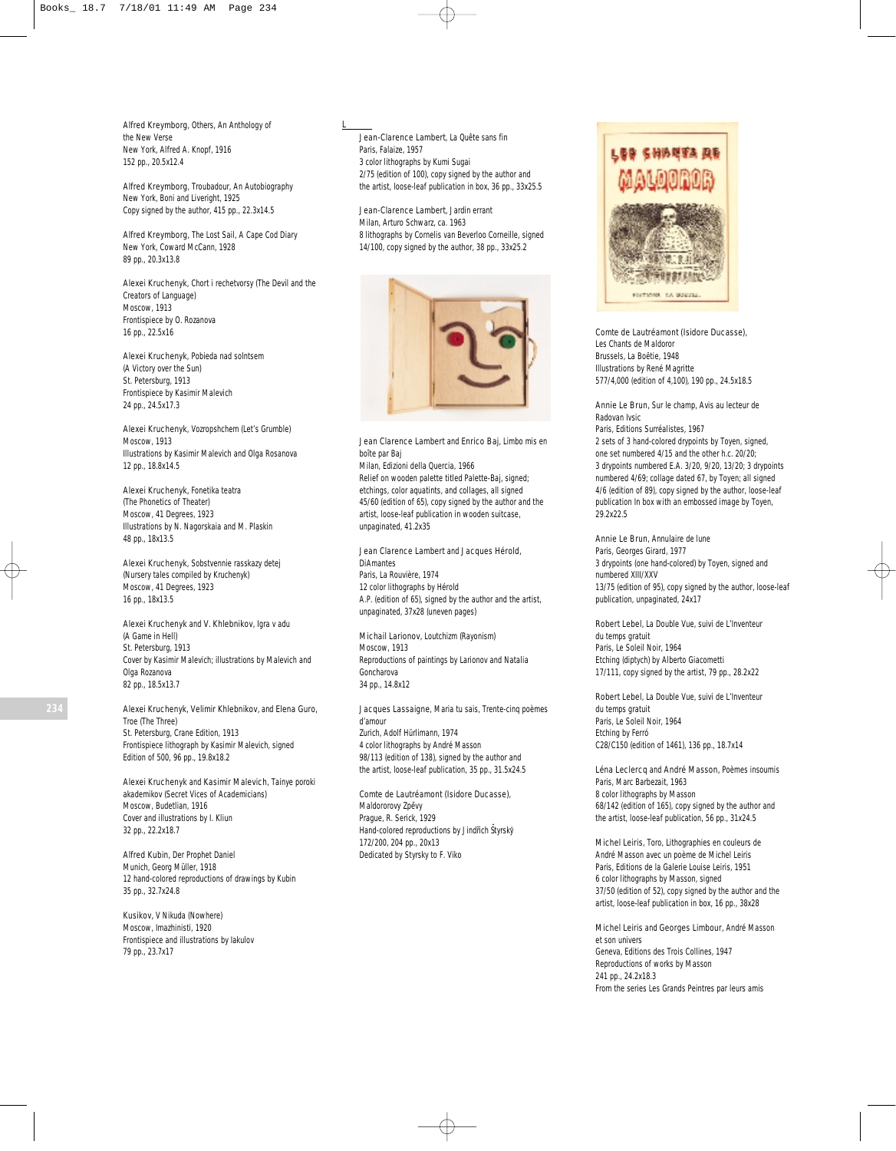Alfred Kreymborg, *Others, An Anthology of the New Verse* New York, Alfred A. Knopf, 1916 152 pp., 20.5x12.4

Alfred Kreymborg, *Troubadour, An Autobiography* New York, Boni and Liveright, 1925 Copy signed by the author, 415 pp., 22.3x14.5

Alfred Kreymborg, *The Lost Sail, A Cape Cod Diary* New York, Coward McCann, 1928 89 pp., 20.3x13.8

Alexei Kruchenyk, *Chort i rechetvorsy* (The Devil and the Creators of Language) Moscow, 1913 Frontispiece by O. Rozanova 16 pp., 22.5x16

Alexei Kruchenyk, *Pobieda nad solntsem* (A Victory over the Sun) St. Petersburg, 1913 Frontispiece by Kasimir Malevich 24 pp., 24.5x17.3

Alexei Kruchenyk, *Vozropshchem* (Let's Grumble) Moscow, 1913 Illustrations by Kasimir Malevich and Olga Rosanova 12 pp., 18.8x14.5

Alexei Kruchenyk, *Fonetika teatra* (The Phonetics of Theater) Moscow, 41 Degrees, 1923 Illustrations by N. Nagorskaia and M. Plaskin 48 pp., 18x13.5

Alexei Kruchenyk, *Sobstvennie rasskazy detej* (Nursery tales compiled by Kruchenyk) Moscow, 41 Degrees, 1923 16 pp., 18x13.5

Alexei Kruchenyk and V. Khlebnikov, *Igra v adu* (A Game in Hell) St. Petersburg, 1913 Cover by Kasimir Malevich; illustrations by Malevich and Olga Rozanova 82 pp., 18.5x13.7

Alexei Kruchenyk, Velimir Khlebnikov, and Elena Guro, *Troe* (The Three)

St. Petersburg, Crane Edition, 1913 Frontispiece lithograph by Kasimir Malevich, signed Edition of 500, 96 pp., 19.8x18.2

Alexei Kruchenyk and Kasimir Malevich, *Tainye poroki akademikov* (Secret Vices of Academicians) Moscow, Budetlian, 1916 Cover and illustrations by I. Kliun 32 pp., 22.2x18.7

Alfred Kubin, *Der Prophet Daniel* Munich, Georg Müller, 1918 12 hand-colored reproductions of drawings by Kubin 35 pp., 32.7x24.8

Kusikov, *V Nikuda* (Nowhere) Moscow, Imazhinisti, 1920 Frontispiece and illustrations by Iakulov 79 pp., 23.7x17

#### L

Jean-Clarence Lambert, *La Quête sans fin* Paris, Falaize, 1957 3 color lithographs by Kumi Sugai 2/75 (edition of 100), copy signed by the author and the artist, loose-leaf publication in box, 36 pp., 33x25.5

Jean-Clarence Lambert, *Jardin errant* Milan, Arturo Schwarz, ca. 1963 8 lithographs by Cornelis van Beverloo Corneille, signed 14/100, copy signed by the author, 38 pp., 33x25.2



Jean Clarence Lambert and Enrico Baj, *Limbo mis en boîte par Baj*

Milan, Edizioni della Quercia, 1966 Relief on wooden palette titled *Palette-Baj*, signed; etchings, color aquatints, and collages, all signed 45/60 (edition of 65), copy signed by the author and the artist, loose-leaf publication in wooden suitcase, unpaginated, 41.2x35

Jean Clarence Lambert and Jacques Hérold, *DiAmantes* Paris, La Rouvière, 1974

12 color lithographs by Hérold A.P. (edition of 65), signed by the author and the artist, unpaginated, 37x28 (uneven pages)

Michail Larionov, *Loutchizm* (Rayonism) Moscow, 1913 Reproductions of paintings by Larionov and Natalia Goncharova 34 pp., 14.8x12

Jacques Lassaigne, *Maria tu sais, Trente-cinq poèmes d'amour* Zurich, Adolf Hürlimann, 1974 4 color lithographs by André Masson 98/113 (edition of 138), signed by the author and the artist, loose-leaf publication, 35 pp., 31.5x24.5

Comte de Lautréamont (Isidore Ducasse), *Maldororovy Zpe˘vy* Prague, R. Serick, 1929 Hand-colored reproductions by Jindřich Štyrský 172/200, 204 pp., 20x13 Dedicated by Styrsky to F. Viko



Comte de Lautréamont (Isidore Ducasse), *Les Chants de Maldoror* Brussels, La Boëtie, 1948 Illustrations by René Magritte 577/4,000 (edition of 4,100), 190 pp., 24.5x18.5

Annie Le Brun, *Sur le champ, Avis au lecteur de Radovan Ivsic*

Paris, Editions Surréalistes, 1967 2 sets of 3 hand-colored drypoints by Toyen, signed, one set numbered 4/15 and the other h.c. 20/20; 3 drypoints numbered E.A. 3/20, 9/20, 13/20; 3 drypoints numbered 4/69; collage dated 67, by Toyen; all signed 4/6 (edition of 89), copy signed by the author, loose-leaf publication In box with an embossed image by Toyen, 29.2x22.5

Annie Le Brun, *Annulaire de lune* Paris, Georges Girard, 1977 3 drypoints (one hand-colored) by Toyen, signed and numbered XIII/XXV 13/75 (edition of 95), copy signed by the author, loose-leaf publication, unpaginated, 24x17

Robert Lebel, *La Double Vue, suivi de L'Inventeur du temps gratuit* Paris, Le Soleil Noir, 1964 Etching (diptych) by Alberto Giacometti 17/111, copy signed by the artist, 79 pp., 28.2x22

Robert Lebel, *La Double Vue, suivi de L'Inventeur du temps gratuit* Paris, Le Soleil Noir, 1964 Etching by Ferró C28/C150 (edition of 1461), 136 pp., 18.7x14

Léna Leclercq and André Masson, *Poèmes insoumis* Paris, Marc Barbezait, 1963 8 color lithographs by Masson 68/142 (edition of 165), copy signed by the author and the artist, loose-leaf publication, 56 pp., 31x24.5

Michel Leiris, *Toro, Lithographies en couleurs de André Masson avec un poème de Michel Leiris* Paris, Editions de la Galerie Louise Leiris, 1951 6 color lithographs by Masson, signed 37/50 (edition of 52), copy signed by the author and the artist, loose-leaf publication in box, 16 pp., 38x28

Michel Leiris and Georges Limbour, *André Masson et son univers* Geneva, Editions des Trois Collines, 1947 Reproductions of works by Masson 241 pp., 24.2x18.3 From the series *Les Grands Peintres par leurs amis*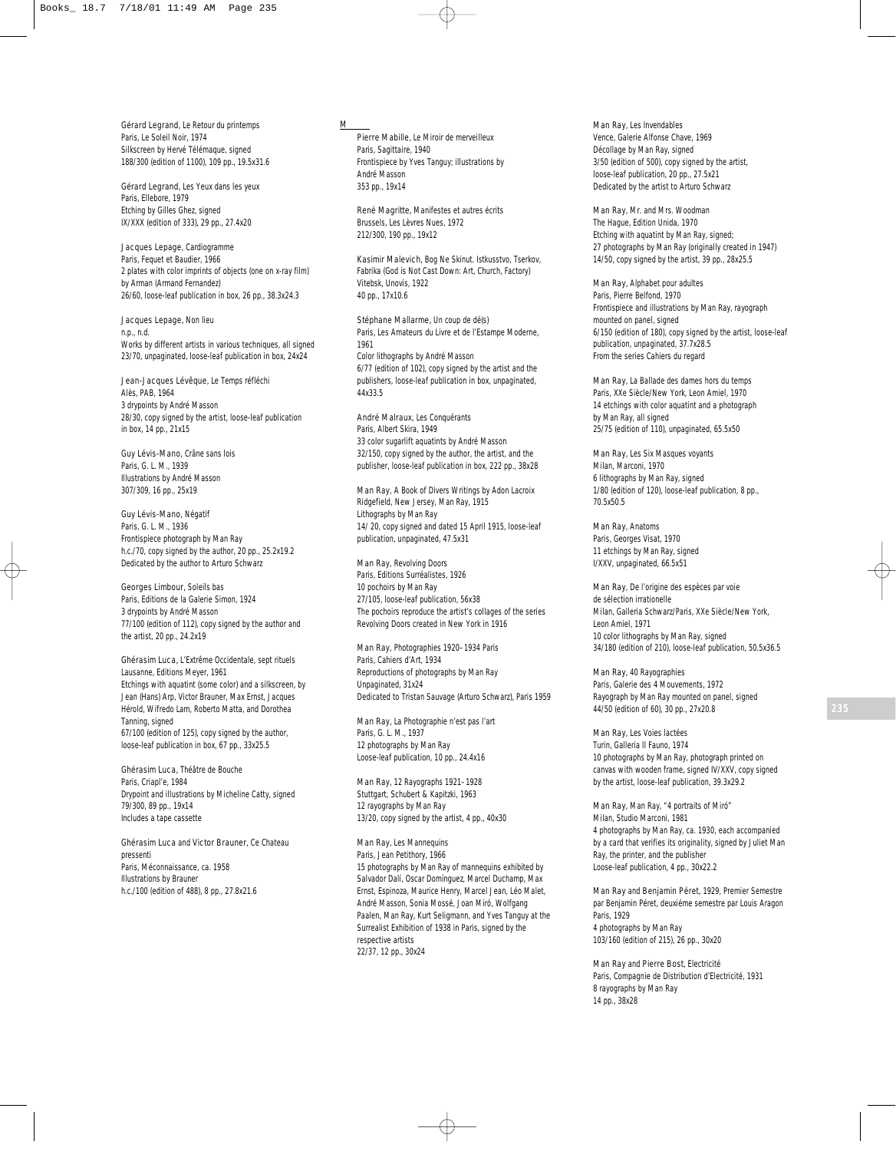Gérard Legrand, *Le Retour du printemps* Paris, Le Soleil Noir, 1974 Silkscreen by Hervé Télémaque, signed 188/300 (edition of 1100), 109 pp., 19.5x31.6

Gérard Legrand, *Les Yeux dans les yeux* Paris, Ellebore, 1979 Etching by Gilles Ghez, signed IX/XXX (edition of 333), 29 pp., 27.4x20

Jacques Lepage, *Cardiogramme* Paris, Fequet et Baudier, 1966 2 plates with color imprints of objects (one on x-ray film) by Arman (Armand Fernandez) 26/60, loose-leaf publication in box, 26 pp., 38.3x24.3

Jacques Lepage, *Non lieu* n.p., n.d. Works by different artists in various techniques, all signed 23/70, unpaginated, loose-leaf publication in box, 24x24

Jean-Jacques Lévêque, *Le Temps réfléchi* Alès, PAB, 1964 3 drypoints by André Masson 28/30, copy signed by the artist, loose-leaf publication in box, 14 pp., 21x15

Guy Lévis-Mano, *Crâne sans lois* Paris, G. L. M., 1939 Illustrations by André Masson 307/309, 16 pp., 25x19

Guy Lévis-Mano, *Négatif* Paris, G. L. M., 1936 Frontispiece photograph by Man Ray h.c./70, copy signed by the author, 20 pp., 25.2x19.2 Dedicated by the author to Arturo Schwarz

Georges Limbour, *Soleils bas* Paris, Editions de la Galerie Simon, 1924 3 drypoints by André Masson 77/100 (edition of 112), copy signed by the author and the artist, 20 pp., 24.2x19

Ghérasim Luca, *L'Extrême Occidentale, sept rituels* Lausanne, Editions Meyer, 1961 Etchings with aquatint (some color) and a silkscreen, by Jean (Hans) Arp, Victor Brauner, Max Ernst, Jacques Hérold, Wifredo Lam, Roberto Matta, and Dorothea Tanning, signed 67/100 (edition of 125), copy signed by the author, loose-leaf publication in box, 67 pp., 33x25.5

Ghérasim Luca, *Théâtre de Bouche* Paris, *Criapl'e*, 1984 Drypoint and illustrations by Micheline Catty, signed 79/300, 89 pp., 19x14 Includes a tape cassette

Ghérasim Luca and Victor Brauner, *Ce Chateau pressenti* Paris, Méconnaissance, ca. 1958 Illustrations by Brauner h.c./100 (edition of 488), 8 pp., 27.8x21.6

#### M

Pierre Mabille, *Le Miroir de merveilleux* Paris, Sagittaire, 1940 Frontispiece by Yves Tanguy; illustrations by André Masson 353 pp., 19x14

René Magritte, *Manifestes et autres écrits* Brussels, Les Lèvres Nues, 1972 212/300, 190 pp., 19x12

Kasimir Malevich, *Bog Ne Skinut. Istkusstvo, Tserkov, Fabrika* (God is Not Cast Down: Art, Church, Factory) Vitebsk, Unovis, 1922 40 pp., 17x10.6

Stéphane Mallarme, *Un coup de dé(s)* Paris, Les Amateurs du Livre et de l'Estampe Moderne, 1961 Color lithographs by André Masson 6/77 (edition of 102), copy signed by the artist and the publishers, loose-leaf publication in box, unpaginated, .<br>44x33.5

André Malraux, *Les Conquérants* Paris, Albert Skira, 1949 33 color sugarlift aquatints by André Masson 32/150, copy signed by the author, the artist, and the publisher, loose-leaf publication in box, 222 pp., 38x28

Man Ray, *A Book of Divers Writings by Adon Lacroix* Ridgefield, New Jersey, Man Ray, 1915 Lithographs by Man Ray 14/ 20, copy signed and dated 15 April 1915, loose-leaf publication, unpaginated, 47.5x31

Man Ray, *Revolving Doors* Paris, Editions Surréalistes, 1926 10 pochoirs by Man Ray 27/105, loose-leaf publication, 56x38 The pochoirs reproduce the artist's collages of the series *Revolving Doors* created in New York in 1916

Man Ray, *Photographies 1920–1934 Paris* Paris, Cahiers d'Art, 1934 Reproductions of photographs by Man Ray Unpaginated, 31x24 Dedicated to Tristan Sauvage (Arturo Schwarz), Paris 1959

Man Ray, *La Photographie n'est pas l'art* Paris, G. L. M., 1937 12 photographs by Man Ray Loose-leaf publication, 10 pp., 24.4x16

Man Ray, *12 Rayographs 1921–1928* Stuttgart, Schubert & Kapitzki, 1963 12 rayographs by Man Ray 13/20, copy signed by the artist, 4 pp., 40x30

Man Ray, *Les Mannequins* Paris, Jean Petithory, 1966 15 photographs by Man Ray of mannequins exhibited by Salvador Dalí, Oscar Domínguez, Marcel Duchamp, Max Ernst, Espinoza, Maurice Henry, Marcel Jean, Léo Malet, André Masson, Sonia Mossé, Joan Miró, Wolfgang Paalen, Man Ray, Kurt Seligmann, and Yves Tanguy at the Surrealist Exhibition of 1938 in Paris, signed by the respective artists 22/37, 12 pp., 30x24

Man Ray, *Les Invendables* Vence, Galerie Alfonse Chave, 1969 Décollage by Man Ray, signed 3/50 (edition of 500), copy signed by the artist, loose-leaf publication, 20 pp., 27.5x21 Dedicated by the artist to Arturo Schwarz

Man Ray, *Mr. and Mrs. Woodman* The Hague, Edition Unida, 1970 Etching with aquatint by Man Ray, signed; 27 photographs by Man Ray (originally created in 1947) 14/50, copy signed by the artist, 39 pp., 28x25.5

Man Ray, *Alphabet pour adultes* Paris, Pierre Belfond, 1970 Frontispiece and illustrations by Man Ray, rayograph mounted on panel, signed 6/150 (edition of 180), copy signed by the artist, loose-leaf publication, unpaginated, 37.7x28.5 From the series *Cahiers du regard*

Man Ray, *La Ballade des dames hors du temps* Paris, XXe Siècle/New York, Leon Amiel, 1970 14 etchings with color aquatint and a photograph by Man Ray, all signed 25/75 (edition of 110), unpaginated, 65.5x50

Man Ray, *Les Six Masques voyants* Milan, Marconi, 1970 6 lithographs by Man Ray, signed 1/80 (edition of 120), loose-leaf publication, 8 pp., 70.5x50.5

Man Ray, *Anatoms* Paris, Georges Visat, 1970 11 etchings by Man Ray, signed I/XXV, unpaginated, 66.5x51

Man Ray, *De l'origine des espèces par voie de sélection irrationelle* Milan, Galleria Schwarz/Paris, XXe Siècle/New York, Leon Amiel, 1971 10 color lithographs by Man Ray, signed 34/180 (edition of 210), loose-leaf publication, 50.5x36.5

Man Ray, *40 Rayographies* Paris, Galerie des 4 Mouvements, 1972 Rayograph by Man Ray mounted on panel, signed 44/50 (edition of 60), 30 pp., 27x20.8

Man Ray, *Les Voies lactées* Turin, Galleria Il Fauno, 1974 10 photographs by Man Ray, photograph printed on canvas with wooden frame, signed IV/XXV, copy signed by the artist, loose-leaf publication, 39.3x29.2

Man Ray, *Man Ray, "4 portraits of Miró"* Milan, Studio Marconi, 1981 4 photographs by Man Ray, ca. 1930, each accompanied by a card that verifies its originality, signed by Juliet Man Ray, the printer, and the publisher Loose-leaf publication, 4 pp., 30x22.2

Man Ray and Benjamin Péret, *1929, Premier Semestre par Benjamin Péret, deuxiéme semestre par Louis Aragon* Paris, 1929 4 photographs by Man Ray 103/160 (edition of 215), 26 pp., 30x20

Man Ray and Pierre Bost, *Electricité* Paris, Compagnie de Distribution d'Electricité, 1931 8 rayographs by Man Ray 14 pp., 38x28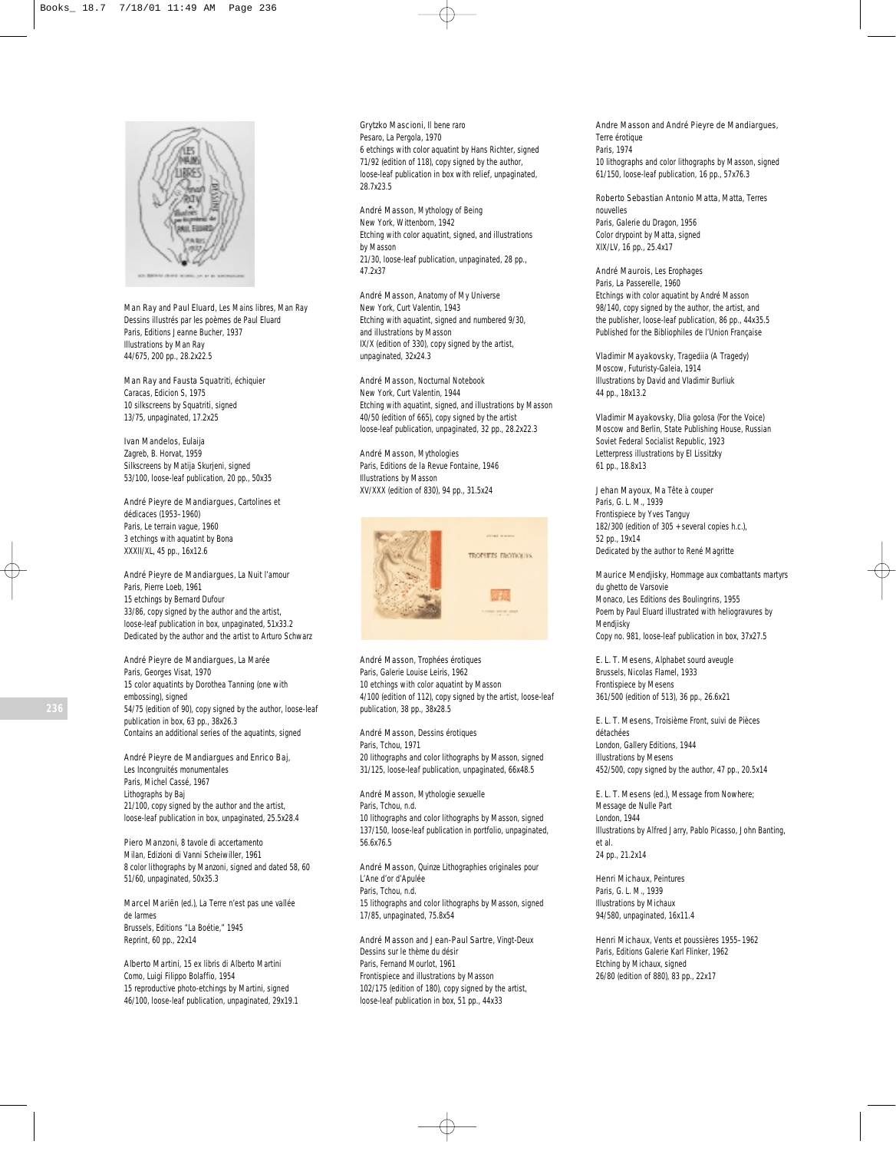

Man Ray and Paul Eluard, *Les Mains libres, Man Ray Dessins illustrés par les poèmes de Paul Eluard* Paris, Editions Jeanne Bucher, 1937 Illustrations by Man Ray 44/675, 200 pp., 28.2x22.5

Man Ray and Fausta Squatriti, *échiquier* Caracas, Edicion S, 1975 10 silkscreens by Squatriti, signed 13/75, unpaginated, 17.2x25

Ivan Mandelos, *Eulaija* Zagreb, B. Horvat, 1959 Silkscreens by Matija Skurjeni, signed 53/100, loose-leaf publication, 20 pp., 50x35

André Pieyre de Mandiargues, *Cartolines et dédicaces (1953–1960)* Paris, Le terrain vague, 1960 3 etchings with aquatint by Bona XXXII/XL, 45 pp., 16x12.6

André Pieyre de Mandiargues, *La Nuit l'amour* Paris, Pierre Loeb, 1961 15 etchings by Bernard Dufour 33/86, copy signed by the author and the artist, loose-leaf publication in box, unpaginated, 51x33.2 Dedicated by the author and the artist to Arturo Schwarz

André Pieyre de Mandiargues, *La Marée* Paris, Georges Visat, 1970 15 color aquatints by Dorothea Tanning (one with embossing), signed 54/75 (edition of 90), copy signed by the author, loose-leaf publication in box, 63 pp., 38x26.3 Contains an additional series of the aquatints, signed

André Pieyre de Mandiargues and Enrico Baj, *Les Incongruités monumentales* Paris, Michel Cassé, 1967 Lithographs by Baj 21/100, copy signed by the author and the artist, loose-leaf publication in box, unpaginated, 25.5x28.4

Piero Manzoni, *8 tavole di accertamento* Milan, Edizioni di Vanni Scheiwiller, 1961 8 color lithographs by Manzoni, signed and dated 58, 60 51/60, unpaginated, 50x35.3

Marcel Mariën (ed.), *La Terre n'est pas une vallée de larmes* Brussels, Editions "La Boétie," 1945 Reprint, 60 pp., 22x14

Alberto Martini, *15 ex libris di Alberto Martini* Como, Luigi Filippo Bolaffio, 1954 15 reproductive photo-etchings by Martini, signed 46/100, loose-leaf publication, unpaginated, 29x19.1

Grytzko Mascioni, *Il bene raro* Pesaro, La Pergola, 1970 6 etchings with color aquatint by Hans Richter, signed 71/92 (edition of 118), copy signed by the author, loose-leaf publication in box with relief, unpaginated, 28.7x23.5

André Masson, *Mythology of Being* New York, Wittenborn, 1942 Etching with color aquatint, signed, and illustrations by Masson 21/30, loose-leaf publication, unpaginated, 28 pp., 47.2x37

André Masson, *Anatomy of My Universe* New York, Curt Valentin, 1943 Etching with aquatint, signed and numbered 9/30, and illustrations by Masson IX/X (edition of 330), copy signed by the artist, unpaginated, 32x24.3

André Masson, *Nocturnal Notebook* New York, Curt Valentin, 1944 Etching with aquatint, signed, and illustrations by Masson 40/50 (edition of 665), copy signed by the artist loose-leaf publication, unpaginated, 32 pp., 28.2x22.3

André Masson, *Mythologies* Paris, Editions de la Revue Fontaine, 1946 Illustrations by Masson XV/XXX (edition of 830), 94 pp., 31.5x24



André Masson, *Trophées érotiques* Paris, Galerie Louise Leiris, 1962 10 etchings with color aquatint by Masson 4/100 (edition of 112), copy signed by the artist, loose-leaf publication, 38 pp., 38x28.5

André Masson, *Dessins érotiques* Paris, Tchou, 1971 20 lithographs and color lithographs by Masson, signed 31/125, loose-leaf publication, unpaginated, 66x48.5

André Masson, *Mythologie sexuelle* Paris, Tchou, n.d. 10 lithographs and color lithographs by Masson, signed 137/150, loose-leaf publication in portfolio, unpaginated, 56.6x76.5

André Masson, *Quinze Lithographies originales pour L'Ane d'or d'Apulée* Paris, Tchou, n.d. 15 lithographs and color lithographs by Masson, signed 17/85, unpaginated, 75.8x54

André Masson and Jean-Paul Sartre, *Vingt-Deux Dessins sur le thème du désir* Paris, Fernand Mourlot, 1961 Frontispiece and illustrations by Masson 102/175 (edition of 180), copy signed by the artist, loose-leaf publication in box, 51 pp., 44x33

Andre Masson and André Pieyre de Mandiargues, *Terre érotique* Paris, 1974 10 lithographs and color lithographs by Masson, signed 61/150, loose-leaf publication, 16 pp., 57x76.3

Roberto Sebastian Antonio Matta, *Matta, Terres nouvelles*

Paris, Galerie du Dragon, 1956 Color drypoint by Matta, signed XIX/LV, 16 pp., 25.4x17

André Maurois, *Les Erophages* Paris, La Passerelle, 1960 Etchings with color aquatint by André Masson 98/140, copy signed by the author, the artist, and the publisher, loose-leaf publication, 86 pp., 44x35.5 Published for the Bibliophiles de l'Union Française

Vladimir Mayakovsky, *Tragediia* (A Tragedy) Moscow, Futuristy-Galeia, 1914 Illustrations by David and Vladimir Burliuk 44 pp., 18x13.2

Vladimir Mayakovsky, *Dlia golosa* (For the Voice) Moscow and Berlin, State Publishing House, Russian Soviet Federal Socialist Republic, 1923 Letterpress illustrations by El Lissitzky 61 pp., 18.8x13

Jehan Mayoux, *Ma Tête à couper* Paris, G. L. M., 1939 Frontispiece by Yves Tanguy 182/300 (edition of 305 + several copies h.c.), 52 pp., 19x14 Dedicated by the author to René Magritte

Maurice Mendjisky, *Hommage aux combattants martyrs du ghetto de Varsovie* Monaco, Les Editions des Boulingrins, 1955 Poem by Paul Eluard illustrated with heliogravures by Mendjisky Copy no. 981, loose-leaf publication in box, 37x27.5

E. L. T. Mesens, *Alphabet sourd aveugle* Brussels, Nicolas Flamel, 1933 Frontispiece by Mesens 361/500 (edition of 513), 36 pp., 26.6x21

E. L. T. Mesens, *Troisième Front, suivi de Pièces détachées* London, Gallery Editions, 1944 Illustrations by Mesens 452/500, copy signed by the author, 47 pp., 20.5x14

E. L. T. Mesens (ed.), *Message from Nowhere; Message de Nulle Part* London, 1944 Illustrations by Alfred Jarry, Pablo Picasso, John Banting, et al. 24 pp., 21.2x14

Henri Michaux, *Peintures* Paris, G. L. M., 1939 Illustrations by Michaux 94/580, unpaginated, 16x11.4

Henri Michaux, *Vents et poussières 1955–1962* Paris, Editions Galerie Karl Flinker, 1962 Etching by Michaux, signed 26/80 (edition of 880), 83 pp., 22x17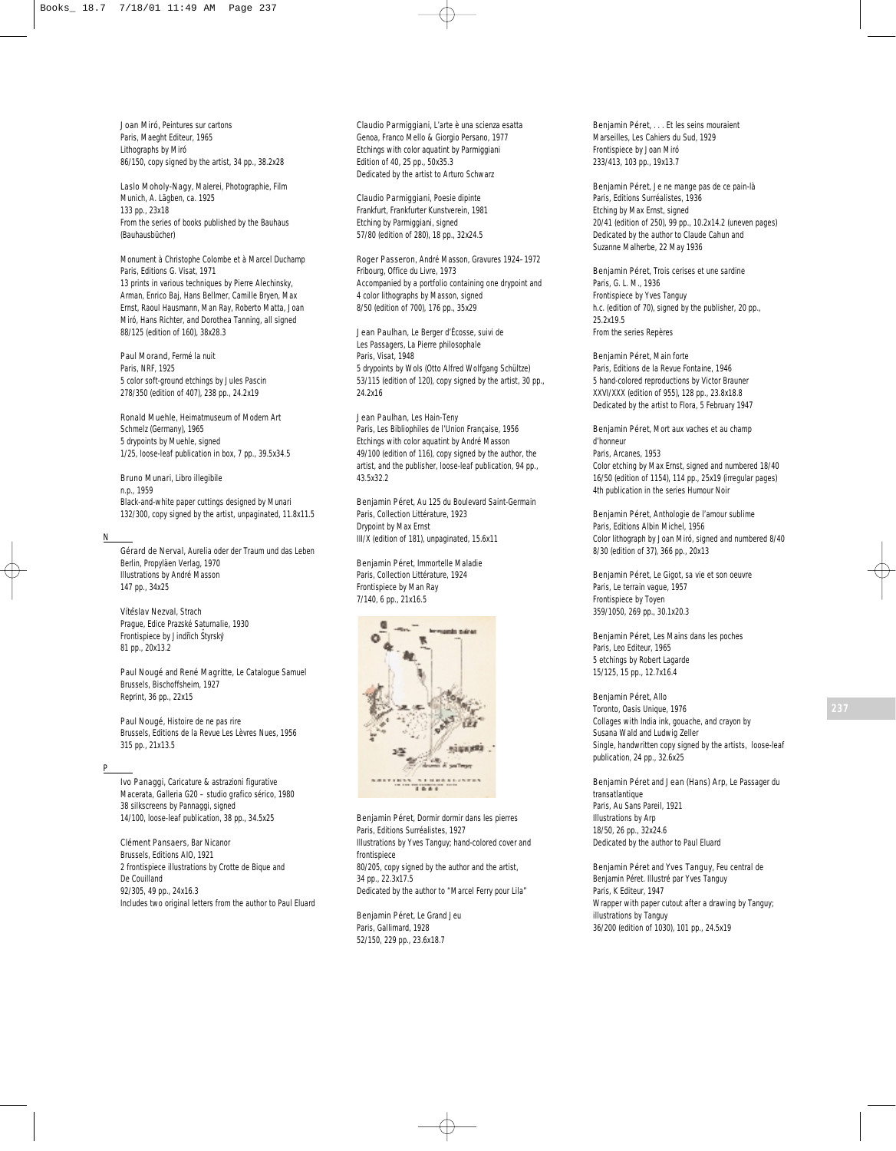Joan Miró, *Peintures sur cartons* Paris, Maeght Editeur, 1965 Lithographs by Miró 86/150, copy signed by the artist, 34 pp., 38.2x28

Laslo Moholy-Nagy, *Malerei, Photographie, Film* Munich, A. Lägben, ca. 1925 133 pp., 23x18 From the series of books published by the Bauhaus (*Bauhausbücher*)

*Monument à Christophe Colombe et à Marcel Duchamp* Paris, Editions G. Visat, 1971 13 prints in various techniques by Pierre Alechinsky, Arman, Enrico Baj, Hans Bellmer, Camille Bryen, Max Ernst, Raoul Hausmann, Man Ray, Roberto Matta, Joan Miró, Hans Richter, and Dorothea Tanning, all signed 88/125 (edition of 160), 38x28.3

Paul Morand, *Fermé la nuit* Paris, NRF, 1925 5 color soft-ground etchings by Jules Pascin 278/350 (edition of 407), 238 pp., 24.2x19

Ronald Muehle, *Heimatmuseum of Modern Art* Schmelz (Germany), 1965 5 drypoints by Muehle, signed 1/25, loose-leaf publication in box, 7 pp., 39.5x34.5

Bruno Munari, *Libro illegibile* n.p., 1959 Black-and-white paper cuttings designed by Munari 132/300, copy signed by the artist, unpaginated, 11.8x11.5

## N

Gérard de Nerval, *Aurelia oder der Traum und das Leben* Berlin, Propyläen Verlag, 1970 Illustrations by André Masson 147 pp., 34x25

Vítěslav Nezval, Strach Prague, Edice Prazské Saturnalie, 1930 Frontispiece by Jindřich Štyrský 81 pp., 20x13.2

Paul Nougé and René Magritte, *Le Catalogue Samuel* Brussels, Bischoffsheim, 1927 Reprint, 36 pp., 22x15

Paul Nougé, *Histoire de ne pas rire* Brussels, Editions de la Revue Les Lèvres Nues, 1956 315 pp., 21x13.5

## P

Ivo Panaggi, *Caricature & astrazioni figurative* Macerata, Galleria G20 – studio grafico sérico, 1980 38 silkscreens by Pannaggi, signed 14/100, loose-leaf publication, 38 pp., 34.5x25

Clément Pansaers, *Bar Nicanor* Brussels, Editions AIO, 1921 2 frontispiece illustrations by Crotte de Bique and De Couilland 92/305, 49 pp., 24x16.3 Includes two original letters from the author to Paul Eluard Claudio Parmiggiani, *L'arte è una scienza esatta* Genoa, Franco Mello & Giorgio Persano, 1977 Etchings with color aquatint by Parmiggiani Edition of 40, 25 pp., 50x35.3 Dedicated by the artist to Arturo Schwarz

Claudio Parmiggiani, *Poesie dipinte* Frankfurt, Frankfurter Kunstverein, 1981 Etching by Parmiggiani, signed 57/80 (edition of 280), 18 pp., 32x24.5

Roger Passeron, *André Masson, Gravures 1924–1972* Fribourg, Office du Livre, 1973 Accompanied by a portfolio containing one drypoint and 4 color lithographs by Masson, signed 8/50 (edition of 700), 176 pp., 35x29

Jean Paulhan, *Le Berger d'Écosse, suivi de Les Passagers, La Pierre philosophale* Paris, Visat, 1948 5 drypoints by Wols (Otto Alfred Wolfgang Schültze) 53/115 (edition of 120), copy signed by the artist, 30 pp., 24.2x16

Jean Paulhan, *Les Hain-Teny* Paris, Les Bibliophiles de l'Union Française, 1956 Etchings with color aquatint by André Masson 49/100 (edition of 116), copy signed by the author, the artist, and the publisher, loose-leaf publication, 94 pp., 43.5x32.2

Benjamin Péret, *Au 125 du Boulevard Saint-Germain* Paris, Collection Littérature, 1923 Drypoint by Max Ernst III/X (edition of 181), unpaginated, 15.6x11

Benjamin Péret, *Immortelle Maladie* Paris, Collection Littérature, 1924 Frontispiece by Man Ray 7/140, 6 pp., 21x16.5



Benjamin Péret, *Dormir dormir dans les pierres* Paris, Editions Surréalistes, 1927 Illustrations by Yves Tanguy; hand-colored cover and frontispiece 80/205, copy signed by the author and the artist, 34 pp., 22.3x17.5 Dedicated by the author to "Marcel Ferry pour Lila"

Benjamin Péret, *Le Grand Jeu* Paris, Gallimard, 1928 52/150, 229 pp., 23.6x18.7

Benjamin Péret, . . . *Et les seins mouraient* Marseilles, Les Cahiers du Sud, 1929 Frontispiece by Joan Miró 233/413, 103 pp., 19x13.7

Benjamin Péret, *Je ne mange pas de ce pain-là* Paris, Editions Surréalistes, 1936 Etching by Max Ernst, signed 20/41 (edition of 250), 99 pp., 10.2x14.2 (uneven pages) Dedicated by the author to Claude Cahun and Suzanne Malherbe, 22 May 1936

Benjamin Péret, *Trois cerises et une sardine* Paris, G. L. M., 1936 Frontispiece by Yves Tanguy h.c. (edition of 70), signed by the publisher, 20 pp., 25.2x19.5 From the series *Repères*

Benjamin Péret, *Main forte* Paris, Editions de la Revue Fontaine, 1946 5 hand-colored reproductions by Victor Brauner XXVI/XXX (edition of 955), 128 pp., 23.8x18.8 Dedicated by the artist to Flora, 5 February 1947

Benjamin Péret, *Mort aux vaches et au champ d'honneur* Paris, Arcanes, 1953 Color etching by Max Ernst, signed and numbered 18/40 16/50 (edition of 1154), 114 pp., 25x19 (irregular pages) 4th publication in the series *Humour Noir*

Benjamin Péret, *Anthologie de l'amour sublime* Paris, Editions Albin Michel, 1956 Color lithograph by Joan Miró, signed and numbered 8/40 8/30 (edition of 37), 366 pp., 20x13

Benjamin Péret, *Le Gigot, sa vie et son oeuvre* Paris, Le terrain vague, 1957 Frontispiece by Toyen 359/1050, 269 pp., 30.1x20.3

Benjamin Péret, *Les Mains dans les poches* Paris, Leo Editeur, 1965 5 etchings by Robert Lagarde 15/125, 15 pp., 12.7x16.4

## Benjamin Péret, *Allo*

Toronto, Oasis Unique, 1976 Collages with India ink, gouache, and crayon by Susana Wald and Ludwig Zeller Single, handwritten copy signed by the artists, loose-leaf publication, 24 pp., 32.6x25

Benjamin Péret and Jean (Hans) Arp, *Le Passager du transatlantique* Paris, Au Sans Pareil, 1921 Illustrations by Arp 18/50, 26 pp., 32x24.6 Dedicated by the author to Paul Eluard

Benjamin Péret and Yves Tanguy, *Feu central de Benjamin Péret. Illustré par Yves Tanguy* Paris, K Editeur, 1947 Wrapper with paper cutout after a drawing by Tanguy; illustrations by Tanguy 36/200 (edition of 1030), 101 pp., 24.5x19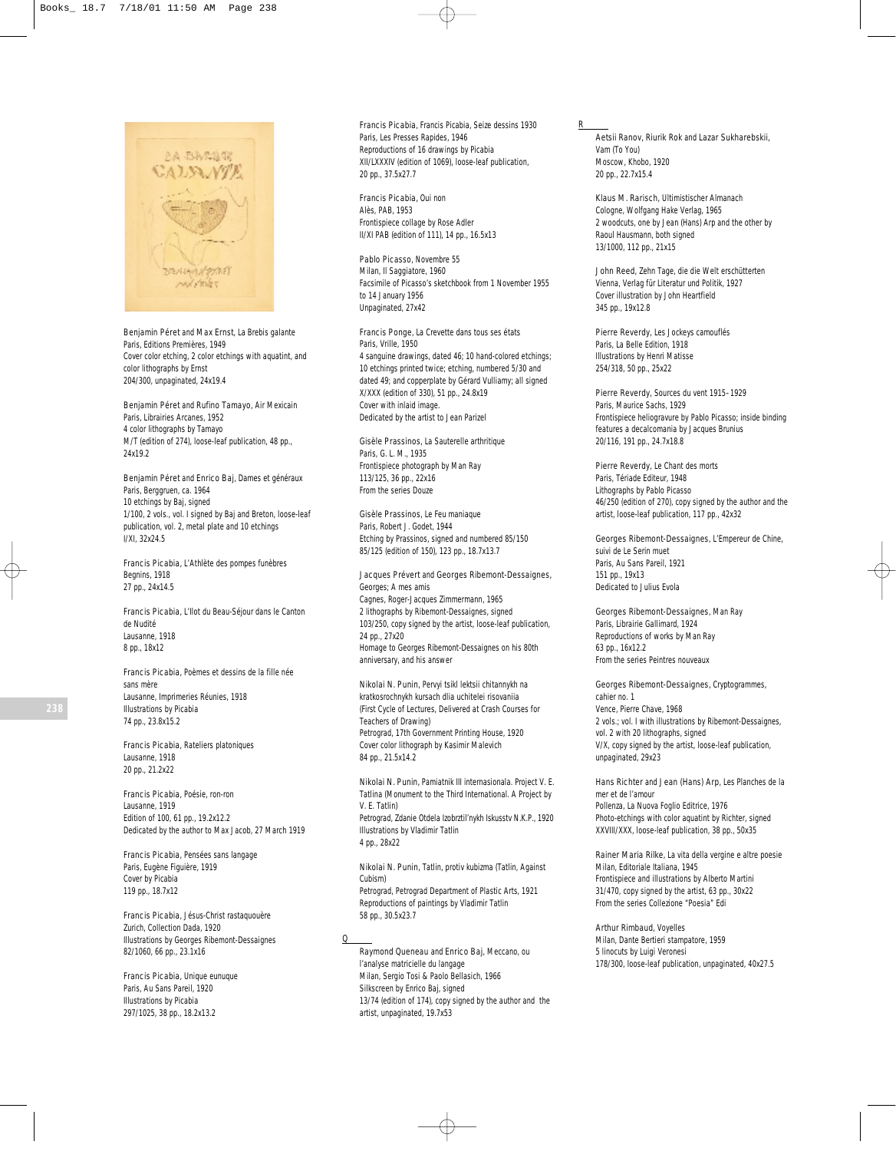

Benjamin Péret and Max Ernst, *La Brebis galante* Paris, Editions Premières, 1949 Cover color etching, 2 color etchings with aquatint, and color lithographs by Ernst 204/300, unpaginated, 24x19.4

Benjamin Péret and Rufino Tamayo, *Air Mexicain* Paris, Librairies Arcanes, 1952 4 color lithographs by Tamayo M/T (edition of 274), loose-leaf publication, 48 pp., 24x19.2

Benjamin Péret and Enrico Baj, *Dames et généraux* Paris, Berggruen, ca. 1964 10 etchings by Baj, signed 1/100, 2 vols., vol. I signed by Baj and Breton, loose-leaf publication, vol. 2, metal plate and 10 etchings I/XI, 32x24.5

Francis Picabia, *L'Athlète des pompes funèbres* Begnins, 1918 27 pp., 24x14.5

Francis Picabia, *L'Ilot du Beau-Séjour dans le Canton de Nudité* Lausanne, 1918 8 pp., 18x12

Francis Picabia, *Poèmes et dessins de la fille née sans mère* Lausanne, Imprimeries Réunies, 1918 Illustrations by Picabia 74 pp., 23.8x15.2

Francis Picabia, *Rateliers platoniques* Lausanne, 1918 20 pp., 21.2x22

Francis Picabia, *Poésie, ron-ron* Lausanne, 1919 Edition of 100, 61 pp., 19.2x12.2 Dedicated by the author to Max Jacob, 27 March 1919

Francis Picabia, *Pensées sans langage* Paris, Eugène Figuière, 1919 Cover by Picabia 119 pp., 18.7x12

Francis Picabia, *Jésus-Christ rastaquouère* Zurich, Collection Dada, 1920 Illustrations by Georges Ribemont-Dessaignes 82/1060, 66 pp., 23.1x16

Francis Picabia, *Unique eunuque* Paris, Au Sans Pareil, 1920 Illustrations by Picabia 297/1025, 38 pp., 18.2x13.2

Francis Picabia, *Francis Picabia, Seize dessins 1930* Paris, Les Presses Rapides, 1946 Reproductions of 16 drawings by Picabia XII/LXXXIV (edition of 1069), loose-leaf publication, 20 pp., 37.5x27.7

Francis Picabia, *Oui non* Alès, PAB, 1953 Frontispiece collage by Rose Adler II/XI PAB (edition of 111), 14 pp., 16.5x13

Pablo Picasso, *Novembre 55* Milan, Il Saggiatore, 1960 Facsimile of Picasso's sketchbook from 1 November 1955 to 14 January 1956 Unpaginated, 27x42

Francis Ponge, *La Crevette dans tous ses états* Paris, Vrille, 1950 4 sanguine drawings, dated 46; 10 hand-colored etchings; 10 etchings printed twice; etching, numbered 5/30 and dated 49; and copperplate by Gérard Vulliamy; all signed X/XXX (edition of 330), 51 pp., 24.8x19 Cover with inlaid image. Dedicated by the artist to Jean Parizel

Gisèle Prassinos, *La Sauterelle arthritique* Paris, G. L. M., 1935 Frontispiece photograph by Man Ray 113/125, 36 pp., 22x16 From the series *Douze*

Gisèle Prassinos, *Le Feu maniaque* Paris, Robert J. Godet, 1944 Etching by Prassinos, signed and numbered 85/150 85/125 (edition of 150), 123 pp., 18.7x13.7

Jacques Prévert and Georges Ribemont-Dessaignes, *Georges; A mes amis* Cagnes, Roger-Jacques Zimmermann, 1965 2 lithographs by Ribemont-Dessaignes, signed 103/250, copy signed by the artist, loose-leaf publication, 24 pp., 27x20 Homage to Georges Ribemont-Dessaignes on his 80th anniversary, and his answer

Nikolai N. Punin, *Pervyi tsikl lektsii chitannykh na kratkosrochnykh kursach dlia uchitelei risovaniia*  (First Cycle of Lectures, Delivered at Crash Courses for Teachers of Drawing) Petrograd, 17th Government Printing House, 1920 Cover color lithograph by Kasimir Malevich 84 pp., 21.5x14.2

Nikolai N. Punin, *Pamiatnik III internasionala. Project V. E. Tatlina* (Monument to the Third International. A Project by V. E. Tatlin) Petrograd, Zdanie Otdela Izobrztil'nykh Iskusstv N.K.P., 1920 Illustrations by Vladimir Tatlin 4 pp., 28x22

Nikolai N. Punin, *Tatlin, protiv kubizma* (Tatlin, Against Cubism) Petrograd, Petrograd Department of Plastic Arts, 1921 Reproductions of paintings by Vladimir Tatlin 58 pp., 30.5x23.7

 $\overline{0}$ 

Raymond Queneau and Enrico Baj, *Meccano, ou l'analyse matricielle du langage* Milan, Sergio Tosi & Paolo Bellasich, 1966 Silkscreen by Enrico Baj, signed 13/74 (edition of 174), copy signed by the author and the artist, unpaginated, 19.7x53

Aetsii Ranov, Riurik Rok and Lazar Sukharebskii, *Vam* (To You) Moscow, Khobo, 1920 20 pp., 22.7x15.4

R

Klaus M. Rarisch, *Ultimistischer Almanach* Cologne, Wolfgang Hake Verlag, 1965 2 woodcuts, one by Jean (Hans) Arp and the other by Raoul Hausmann, both signed 13/1000, 112 pp., 21x15

John Reed, *Zehn Tage, die die Welt erschütterten* Vienna, Verlag für Literatur und Politik, 1927 Cover illustration by John Heartfield 345 pp., 19x12.8

Pierre Reverdy, *Les Jockeys camouflés* Paris, La Belle Edition, 1918 Illustrations by Henri Matisse 254/318, 50 pp., 25x22

Pierre Reverdy, *Sources du vent 1915–1929* Paris, Maurice Sachs, 1929 Frontispiece heliogravure by Pablo Picasso; inside binding features a decalcomania by Jacques Brunius 20/116, 191 pp., 24.7x18.8

Pierre Reverdy, *Le Chant des morts* Paris, Tériade Editeur, 1948 Lithographs by Pablo Picasso 46/250 (edition of 270), copy signed by the author and the artist, loose-leaf publication, 117 pp., 42x32

Georges Ribemont-Dessaignes, *L'Empereur de Chine, suivi de Le Serin muet* Paris, Au Sans Pareil, 1921 151 pp., 19x13 Dedicated to Julius Evola

Georges Ribemont-Dessaignes, *Man Ray* Paris, Librairie Gallimard, 1924 Reproductions of works by Man Ray 63 pp., 16x12.2 From the series *Peintres nouveaux*

Georges Ribemont-Dessaignes, *Cryptogrammes, cahier no. 1* Vence, Pierre Chave, 1968 2 vols.; vol. I with illustrations by Ribemont-Dessaignes, vol. 2 with 20 lithographs, signed V/X, copy signed by the artist, loose-leaf publication, unpaginated, 29x23

Hans Richter and Jean (Hans) Arp, *Les Planches de la mer et de l'amour* Pollenza, La Nuova Foglio Editrice, 1976 Photo-etchings with color aquatint by Richter, signed XXVIII/XXX, loose-leaf publication, 38 pp., 50x35

Rainer Maria Rilke, *La vita della vergine e altre poesie* Milan, Editoriale Italiana, 1945 Frontispiece and illustrations by Alberto Martini 31/470, copy signed by the artist, 63 pp., 30x22 From the series *Collezione "Poesia" Edi*

Arthur Rimbaud, *Voyelles* Milan, Dante Bertieri stampatore, 1959 5 linocuts by Luigi Veronesi 178/300, loose-leaf publication, unpaginated, 40x27.5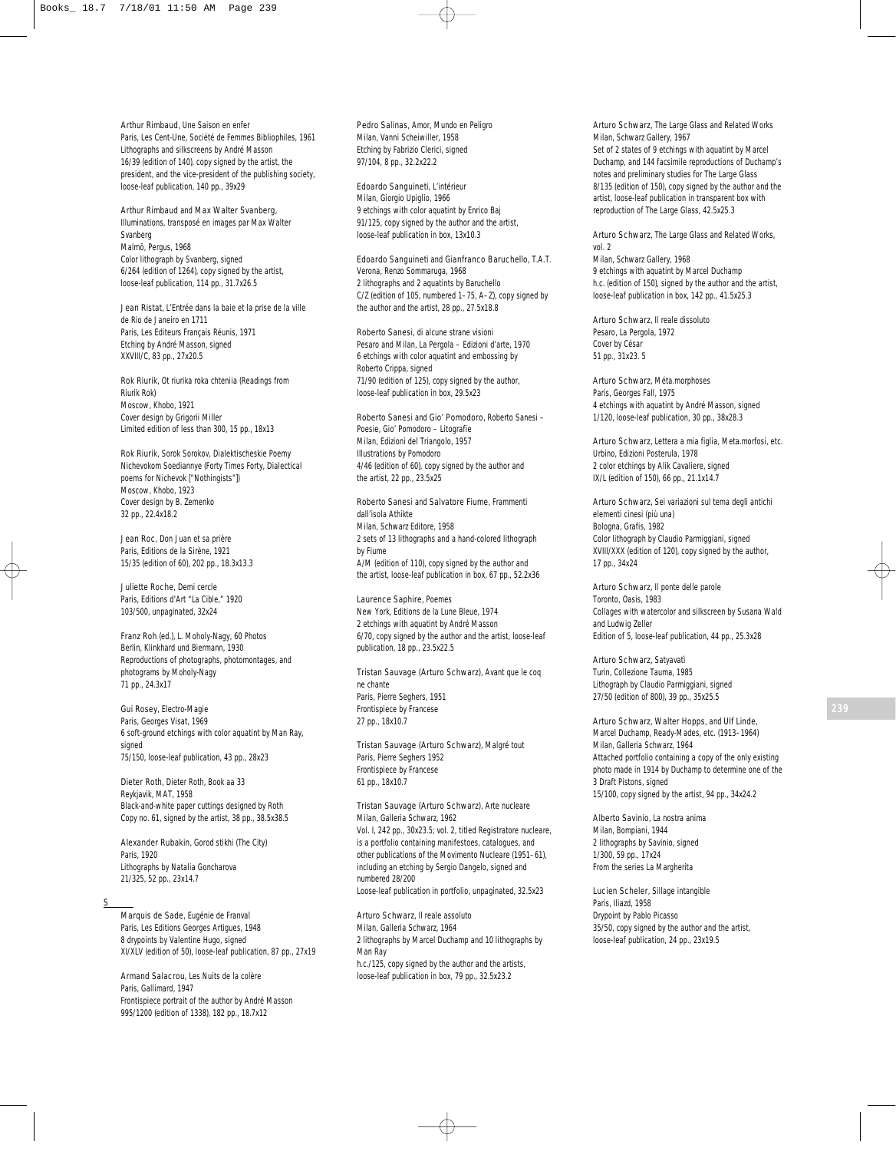Arthur Rimbaud, *Une Saison en enfer* Paris, Les Cent-Une, Société de Femmes Bibliophiles, 1961 Lithographs and silkscreens by André Masson 16/39 (edition of 140), copy signed by the artist, the president, and the vice-president of the publishing society, loose-leaf publication, 140 pp., 39x29

Arthur Rimbaud and Max Walter Svanberg, *Illuminations, transposé en images par Max Walter Svanberg* Malmö, Pergus, 1968 Color lithograph by Svanberg, signed 6/264 (edition of 1264), copy signed by the artist, loose-leaf publication, 114 pp., 31.7x26.5

Jean Ristat, *L'Entrée dans la baie et la prise de la ville de Rio de Janeiro en 1711* Paris, Les Editeurs Français Réunis, 1971 Etching by André Masson, signed XXVIII/C, 83 pp., 27x20.5

Rok Riurik, *Ot riurika roka chteniia* (Readings from Riurik Rok) Moscow, Khobo, 1921 Cover design by Grigorii Miller Limited edition of less than 300, 15 pp., 18x13

Rok Riurik, *Sorok Sorokov, Dialektischeskie Poemy Nichevokom Soediannye* (Forty Times Forty, Dialectical poems for Nichevok ["Nothingists"]) Moscow, Khobo, 1923 Cover design by B. Zemenko 32 pp., 22.4x18.2

Jean Roc, *Don Juan et sa prière* Paris, Editions de la Sirène, 1921 15/35 (edition of 60), 202 pp., 18.3x13.3

Juliette Roche, *Demi cercle* Paris, Editions d'Art "La Cible," 1920 103/500, unpaginated, 32x24

Franz Roh (ed.), *L. Moholy-Nagy, 60 Photos* Berlin, Klinkhard und Biermann, 1930 Reproductions of photographs, photomontages, and photograms by Moholy-Nagy 71 pp., 24.3x17

Gui Rosey, *Electro-Magie* Paris, Georges Visat, 1969 6 soft-ground etchings with color aquatint by Man Ray, signed 75/150, loose-leaf publication, 43 pp., 28x23

Dieter Roth, *Dieter Roth, Book aa 33* Reykjavik, MAT, 1958 Black-and-white paper cuttings designed by Roth Copy no. 61, signed by the artist, 38 pp., 38.5x38.5

Alexander Rubakin, *Gorod stikhi* (The City) Paris, 1920 Lithographs by Natalia Goncharova 21/325, 52 pp., 23x14.7

S

Marquis de Sade, *Eugénie de Franval* Paris, Les Editions Georges Artigues, 1948 8 drypoints by Valentine Hugo, signed XI/XLV (edition of 50), loose-leaf publication, 87 pp., 27x19

Armand Salacrou, *Les Nuits de la colère* Paris, Gallimard, 1947 Frontispiece portrait of the author by André Masson 995/1200 (edition of 1338), 182 pp., 18.7x12

Pedro Salinas, *Amor, Mundo en Peligro* Milan, Vanni Scheiwiller, 1958 Etching by Fabrizio Clerici, signed 97/104, 8 pp., 32.2x22.2

Edoardo Sanguineti, *L'intérieur* Milan, Giorgio Upiglio, 1966 9 etchings with color aquatint by Enrico Baj 91/125, copy signed by the author and the artist, loose-leaf publication in box, 13x10.3

Edoardo Sanguineti and Gianfranco Baruchello, *T.A.T.* Verona, Renzo Sommaruga, 1968 2 lithographs and 2 aquatints by Baruchello C/Z (edition of 105, numbered 1–75, A–Z), copy signed by the author and the artist, 28 pp., 27.5x18.8

Roberto Sanesi, *di alcune strane visioni* Pesaro and Milan, La Pergola – Edizioni d'arte, 1970 6 etchings with color aquatint and embossing by Roberto Crippa, signed 71/90 (edition of 125), copy signed by the author, loose-leaf publication in box, 29.5x23

Roberto Sanesi and Gio' Pomodoro, *Roberto Sanesi – Poesie, Gio' Pomodoro – Litografie* Milan, Edizioni del Triangolo, 1957 Illustrations by Pomodoro 4/46 (edition of 60), copy signed by the author and the artist, 22 pp., 23.5x25

Roberto Sanesi and Salvatore Fiume, *Frammenti dall'isola Athikte* Milan, Schwarz Editore, 1958 2 sets of 13 lithographs and a hand-colored lithograph by Fiume A/M (edition of 110), copy signed by the author and the artist, loose-leaf publication in box, 67 pp., 52.2x36

Laurence Saphire, *Poemes* New York, Editions de la Lune Bleue, 1974 2 etchings with aquatint by André Masson 6/70, copy signed by the author and the artist, loose-leaf publication, 18 pp., 23.5x22.5

Tristan Sauvage (Arturo Schwarz), *Avant que le coq ne chante* Paris, Pierre Seghers, 1951 Frontispiece by Francese 27 pp., 18x10.7

Tristan Sauvage (Arturo Schwarz), *Malgré tout* Paris, Pierre Seghers 1952 Frontispiece by Francese 61 pp., 18x10.7

Tristan Sauvage (Arturo Schwarz), *Arte nucleare* Milan, Galleria Schwarz, 1962 Vol. I, 242 pp., 30x23.5; vol. 2, titled *Registratore nucleare*, is a portfolio containing manifestoes, catalogues, and other publications of the Movimento Nucleare (1951–61), including an etching by Sergio Dangelo, signed and numbered 28/200 Loose-leaf publication in portfolio, unpaginated, 32.5x23

Arturo Schwarz, *Il reale assoluto* Milan, Galleria Schwarz, 1964 2 lithographs by Marcel Duchamp and 10 lithographs by Man Ray h.c./125, copy signed by the author and the artists, loose-leaf publication in box, 79 pp., 32.5x23.2

Arturo Schwarz*, The Large Glass and Related Works* Milan, Schwarz Gallery, 1967 Set of 2 states of 9 etchings with aquatint by Marcel Duchamp, and 144 facsimile reproductions of Duchamp's notes and preliminary studies for *The Large Glass* 8/135 (edition of 150), copy signed by the author and the artist, loose-leaf publication in transparent box with reproduction of *The Large Glass*, 42.5x25.3

Arturo Schwarz*, The Large Glass and Related Works,* vol. 2 Milan, Schwarz Gallery, 1968 9 etchings with aquatint by Marcel Duchamp h.c. (edition of 150), signed by the author and the artist, loose-leaf publication in box, 142 pp., 41.5x25.3

Arturo Schwarz, *Il reale dissoluto* Pesaro, La Pergola, 1972 Cover by César 51 pp., 31x23. 5

Arturo Schwarz*, Méta.morphoses* Paris, Georges Fall, 1975 4 etchings with aquatint by André Masson, signed 1/120, loose-leaf publication, 30 pp., 38x28.3

Arturo Schwarz*, Lettera a mia figlia, Meta.morfosi, etc.* Urbino, Edizioni Posterula, 1978 2 color etchings by Alik Cavaliere, signed IX/L (edition of 150), 66 pp., 21.1x14.7

Arturo Schwarz, *Sei variazioni sul tema degli antichi elementi cinesi (più una)* Bologna, Grafis, 1982 Color lithograph by Claudio Parmiggiani, signed XVIII/XXX (edition of 120), copy signed by the author, 17 pp., 34x24

Arturo Schwarz, *Il ponte delle parole* Toronto, Oasis, 1983 Collages with watercolor and silkscreen by Susana Wald and Ludwig Zeller Edition of 5, loose-leaf publication, 44 pp., 25.3x28

Arturo Schwarz*, Satyavatì* Turin, Collezione Tauma, 1985 Lithograph by Claudio Parmiggiani, signed 27/50 (edition of 800), 39 pp., 35x25.5

Arturo Schwarz, Walter Hopps, and Ulf Linde, *Marcel Duchamp, Ready-Mades, etc. (1913–1964)* Milan, Galleria Schwarz, 1964 Attached portfolio containing a copy of the only existing photo made in 1914 by Duchamp to determine one of the *3 Draft Pistons*, signed 15/100, copy signed by the artist, 94 pp., 34x24.2

Alberto Savinio, *La nostra anima* Milan, Bompiani, 1944 2 lithographs by Savinio, signed 1/300, 59 pp., 17x24 From the series *La Margherita*

Lucien Scheler, *Sillage intangible* Paris, Iliazd, 1958 Drypoint by Pablo Picasso 35/50, copy signed by the author and the artist, loose-leaf publication, 24 pp., 23x19.5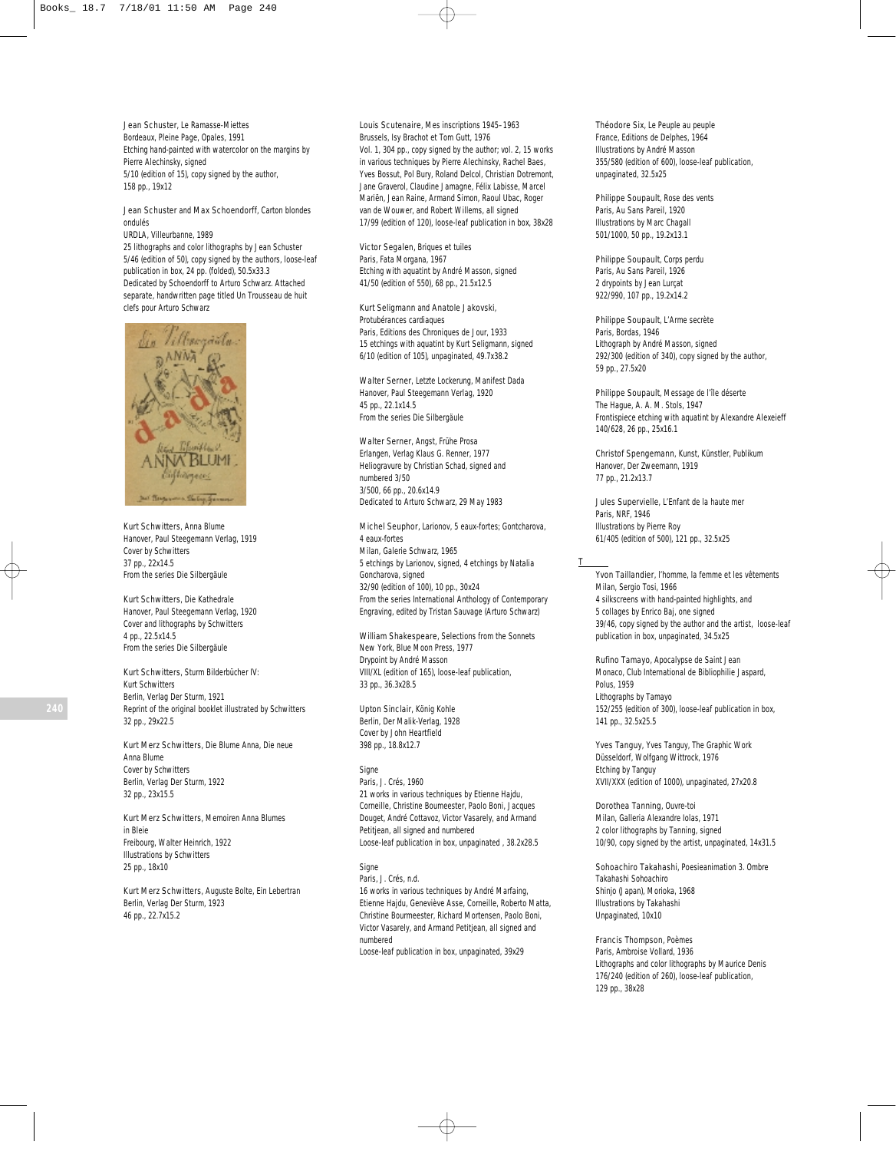Jean Schuster, *Le Ramasse-Miettes* Bordeaux, Pleine Page, Opales, 1991 Etching hand-painted with watercolor on the margins by Pierre Alechinsky, signed 5/10 (edition of 15), copy signed by the author, 158 pp., 19x12

Jean Schuster and Max Schoendorff, *Carton blondes ondulés*

URDLA, Villeurbanne, 1989

25 lithographs and color lithographs by Jean Schuster 5/46 (edition of 50), copy signed by the authors, loose-leaf publication in box, 24 pp. (folded), 50.5x33.3 Dedicated by Schoendorff to Arturo Schwarz. Attached separate, handwritten page titled *Un Trousseau de huit clefs pour Arturo Schwarz*



Kurt Schwitters, *Anna Blume* Hanover, Paul Steegemann Verlag, 1919 Cover by Schwitters 37 pp., 22x14.5 From the series *Die Silbergäule*

Kurt Schwitters, *Die Kathedrale* Hanover, Paul Steegemann Verlag, 1920 Cover and lithographs by Schwitters 4 pp., 22.5x14.5 From the series *Die Silbergäule*

Kurt Schwitters, *Sturm Bilderbücher IV: Kurt Schwitters* Berlin, Verlag Der Sturm, 1921 Reprint of the original booklet illustrated by Schwitters 32 pp., 29x22.5

Kurt Merz Schwitters, *Die Blume Anna, Die neue Anna Blume* Cover by Schwitters Berlin, Verlag Der Sturm, 1922 32 pp., 23x15.5

Kurt Merz Schwitters, *Memoiren Anna Blumes in Bleie* Freibourg, Walter Heinrich, 1922 Illustrations by Schwitters 25 pp., 18x10

Kurt Merz Schwitters, *Auguste Bolte, Ein Lebertran* Berlin, Verlag Der Sturm, 1923 46 pp., 22.7x15.2

Louis Scutenaire, *Mes inscriptions 1945–1963* Brussels, Isy Brachot et Tom Gutt, 1976 Vol. 1, 304 pp., copy signed by the author; vol. 2, 15 works in various techniques by Pierre Alechinsky, Rachel Baes, Yves Bossut, Pol Bury, Roland Delcol, Christian Dotremont, Jane Graverol, Claudine Jamagne, Félix Labisse, Marcel Mariën, Jean Raine, Armand Simon, Raoul Ubac, Roger van de Wouwer, and Robert Willems, all signed 17/99 (edition of 120), loose-leaf publication in box, 38x28

Victor Segalen, *Briques et tuiles* Paris, Fata Morgana, 1967 Etching with aquatint by André Masson, signed 41/50 (edition of 550), 68 pp., 21.5x12.5

Kurt Seligmann and Anatole Jakovski, *Protubérances cardiaques* Paris, Editions des Chroniques de Jour, 1933 15 etchings with aquatint by Kurt Seligmann, signed

6/10 (edition of 105), unpaginated, 49.7x38.2

Walter Serner, *Letzte Lockerung, Manifest Dada* Hanover, Paul Steegemann Verlag, 1920 45 pp., 22.1x14.5 From the series *Die Silbergäule*

Walter Serner, *Angst, Frühe Prosa* Erlangen, Verlag Klaus G. Renner, 1977 Heliogravure by Christian Schad, signed and numbered 3/50 3/500, 66 pp., 20.6x14.9 Dedicated to Arturo Schwarz, 29 May 1983

Michel Seuphor, *Larionov, 5 eaux-fortes; Gontcharova, 4 eaux-fortes* Milan, Galerie Schwarz, 1965 5 etchings by Larionov, signed, 4 etchings by Natalia Goncharova, signed 32/90 (edition of 100), 10 pp., 30x24 From the series *International Anthology of Contemporary Engraving,* edited by Tristan Sauvage (Arturo Schwarz)

William Shakespeare, *Selections from the Sonnets* New York, Blue Moon Press, 1977 Drypoint by André Masson VIII/XL (edition of 165), loose-leaf publication, 33 pp., 36.3x28.5

Upton Sinclair, *König Kohle* Berlin, Der Malik-Verlag, 1928 Cover by John Heartfield 398 pp., 18.8x12.7

*Signe* Paris, J. Crés, 1960 21 works in various techniques by Etienne Hajdu, Corneille, Christine Boumeester, Paolo Boni, Jacques Douget, André Cottavoz, Victor Vasarely, and Armand Petitjean, all signed and numbered Loose-leaf publication in box, unpaginated , 38.2x28.5

# *Signe*

Paris, J. Crés, n.d. 16 works in various techniques by André Marfaing, Etienne Hajdu, Geneviève Asse, Corneille, Roberto Matta, Christine Bourmeester, Richard Mortensen, Paolo Boni, Victor Vasarely, and Armand Petitjean, all signed and numbered Loose-leaf publication in box, unpaginated, 39x29

Théodore Six, *Le Peuple au peuple* France, Editions de Delphes, 1964 Illustrations by André Masson 355/580 (edition of 600), loose-leaf publication, unpaginated, 32.5x25

Philippe Soupault, *Rose des vents* Paris, Au Sans Pareil, 1920 Illustrations by Marc Chagall 501/1000, 50 pp., 19.2x13.1

Philippe Soupault, *Corps perdu* Paris, Au Sans Pareil, 1926 2 drypoints by Jean Lurçat 922/990, 107 pp., 19.2x14.2

Philippe Soupault, *L'Arme secrète* Paris, Bordas, 1946 Lithograph by André Masson, signed 292/300 (edition of 340), copy signed by the author, 59 pp., 27.5x20

Philippe Soupault, *Message de l'île déserte* The Hague, A. A. M. Stols, 1947 Frontispiece etching with aquatint by Alexandre Alexeieff 140/628, 26 pp., 25x16.1

Christof Spengemann, *Kunst, Künstler, Publikum* Hanover, Der Zweemann, 1919 77 pp., 21.2x13.7

Jules Supervielle, *L'Enfant de la haute mer* Paris, NRF, 1946 Illustrations by Pierre Roy 61/405 (edition of 500), 121 pp., 32.5x25

## T

Yvon Taillandier, *l'homme, la femme et les vêtements* Milan, Sergio Tosi, 1966 4 silkscreens with hand-painted highlights, and 5 collages by Enrico Baj, one signed 39/46, copy signed by the author and the artist, loose-leaf publication in box, unpaginated, 34.5x25

Rufino Tamayo, *Apocalypse de Saint Jean* Monaco, Club International de Bibliophilie Jaspard, Polus, 1959 Lithographs by Tamayo 152/255 (edition of 300), loose-leaf publication in box, 141 pp., 32.5x25.5

Yves Tanguy, *Yves Tanguy, The Graphic Work* Düsseldorf, Wolfgang Wittrock, 1976 Etching by Tanguy XVII/XXX (edition of 1000), unpaginated, 27x20.8

Dorothea Tanning, *Ouvre-toi* Milan, Galleria Alexandre Iolas, 1971 2 color lithographs by Tanning, signed 10/90, copy signed by the artist, unpaginated, 14x31.5

Sohoachiro Takahashi, *Poesieanimation 3. Ombre Takahashi Sohoachiro* Shinjo (Japan), Morioka, 1968 Illustrations by Takahashi Unpaginated, 10x10

Francis Thompson, *Poèmes* Paris, Ambroise Vollard, 1936 Lithographs and color lithographs by Maurice Denis 176/240 (edition of 260), loose-leaf publication, 129 pp., 38x28